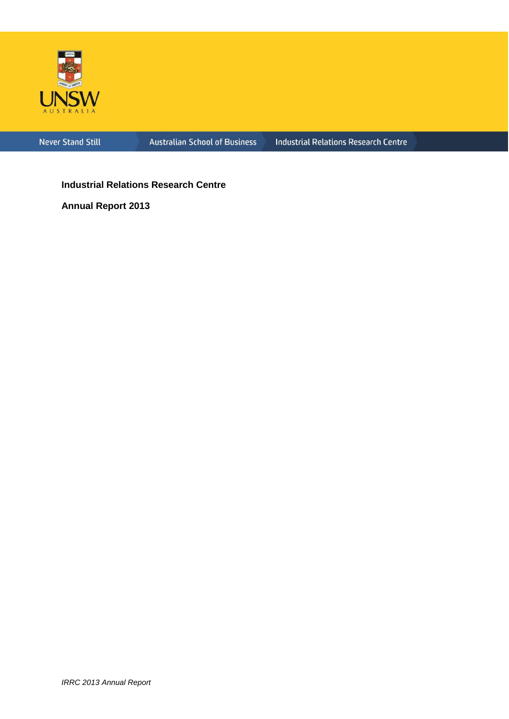

Never Stand Still

**Australian School of Business** 

**Industrial Relations Research Centre** 

**Industrial Relations Research Centre**

**Annual Report 2013**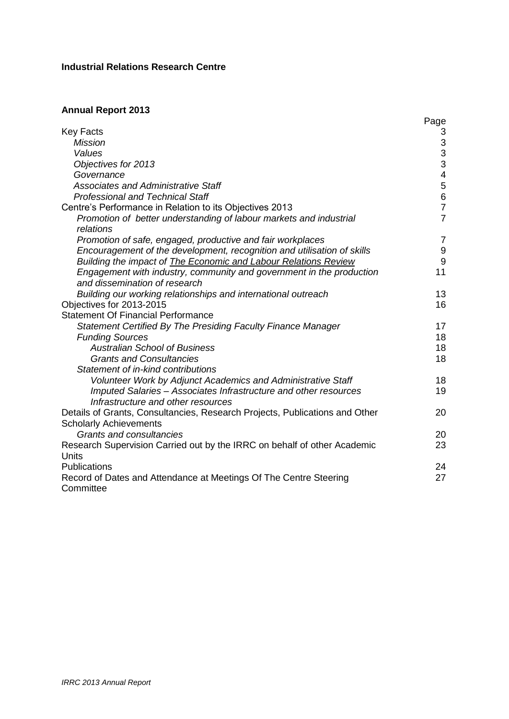# **Industrial Relations Research Centre**

# **Annual Report 2013**

|                                                                                 | Page             |
|---------------------------------------------------------------------------------|------------------|
| <b>Key Facts</b>                                                                | 3                |
| <b>Mission</b>                                                                  | 3                |
| Values                                                                          | 3                |
| Objectives for 2013                                                             | $\overline{3}$   |
| Governance                                                                      | $\overline{4}$   |
| <b>Associates and Administrative Staff</b>                                      | $\sqrt{5}$       |
| <b>Professional and Technical Staff</b>                                         | $\overline{6}$   |
| Centre's Performance in Relation to its Objectives 2013                         | $\overline{7}$   |
| Promotion of better understanding of labour markets and industrial<br>relations | $\overline{7}$   |
| Promotion of safe, engaged, productive and fair workplaces                      | $\overline{7}$   |
| Encouragement of the development, recognition and utilisation of skills         | $\boldsymbol{9}$ |
| Building the impact of <b>The Economic and Labour Relations Review</b>          | $\overline{9}$   |
| Engagement with industry, community and government in the production            | 11               |
| and dissemination of research                                                   |                  |
| Building our working relationships and international outreach                   | 13               |
| Objectives for 2013-2015                                                        | 16               |
| <b>Statement Of Financial Performance</b>                                       |                  |
| Statement Certified By The Presiding Faculty Finance Manager                    | 17               |
| <b>Funding Sources</b>                                                          | 18               |
| <b>Australian School of Business</b>                                            | 18               |
| <b>Grants and Consultancies</b>                                                 | 18               |
| Statement of in-kind contributions                                              |                  |
| Volunteer Work by Adjunct Academics and Administrative Staff                    | 18               |
| Imputed Salaries - Associates Infrastructure and other resources                | 19               |
| Infrastructure and other resources                                              |                  |
| Details of Grants, Consultancies, Research Projects, Publications and Other     | 20               |
| <b>Scholarly Achievements</b>                                                   |                  |
| <b>Grants and consultancies</b>                                                 | 20               |
| Research Supervision Carried out by the IRRC on behalf of other Academic        | 23               |
| Units                                                                           |                  |
| Publications                                                                    | 24               |
| Record of Dates and Attendance at Meetings Of The Centre Steering               | 27               |
| Committee                                                                       |                  |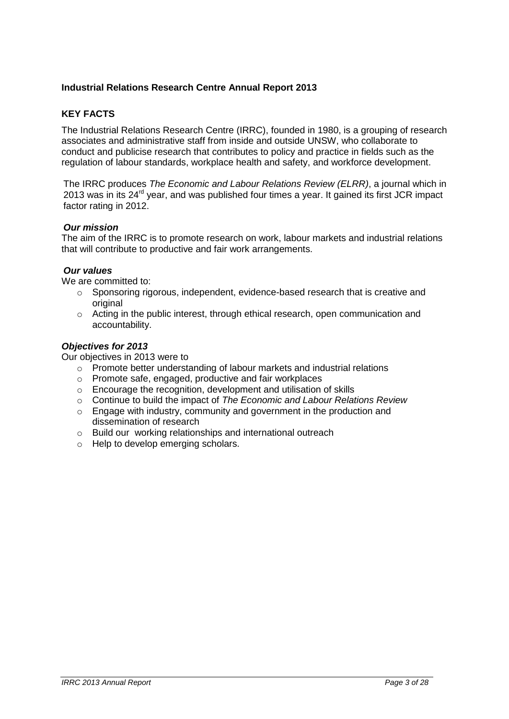# **Industrial Relations Research Centre Annual Report 2013**

# **KEY FACTS**

The Industrial Relations Research Centre (IRRC), founded in 1980, is a grouping of research associates and administrative staff from inside and outside UNSW, who collaborate to conduct and publicise research that contributes to policy and practice in fields such as the regulation of labour standards, workplace health and safety, and workforce development.

The IRRC produces *The Economic and Labour Relations Review (ELRR)*, a journal which in 2013 was in its 24<sup>rd</sup> year, and was published four times a year. It gained its first JCR impact factor rating in 2012.

#### *Our mission*

The aim of the IRRC is to promote research on work, labour markets and industrial relations that will contribute to productive and fair work arrangements.

#### *Our values*

We are committed to:

- $\circ$  Sponsoring rigorous, independent, evidence-based research that is creative and original
- $\circ$  Acting in the public interest, through ethical research, open communication and accountability.

#### *Objectives for 2013*

Our objectives in 2013 were to

- o Promote better understanding of labour markets and industrial relations
- o Promote safe, engaged, productive and fair workplaces
- o Encourage the recognition, development and utilisation of skills
- o Continue to build the impact of *The Economic and Labour Relations Review*
- o Engage with industry, community and government in the production and dissemination of research
- o Build our working relationships and international outreach
- o Help to develop emerging scholars.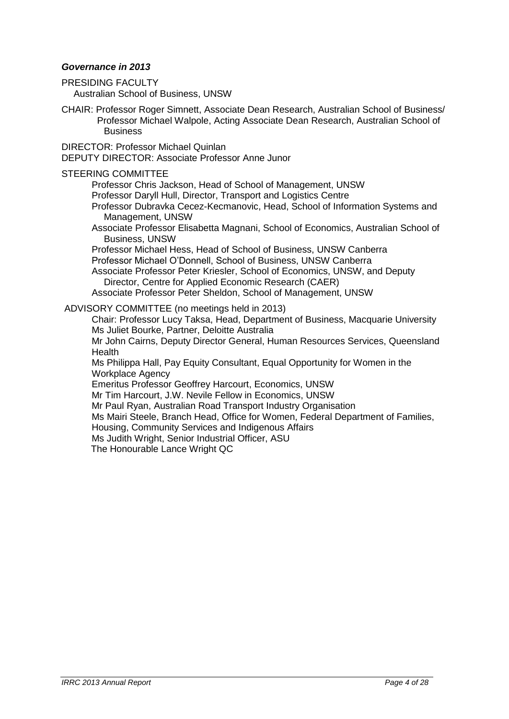# *Governance in 2013*

PRESIDING FACULTY Australian School of Business, UNSW

CHAIR: [Professor Roger Simnett,](http://www.asb.unsw.edu.au/schools/Pages/RogerSimnett.aspx) Associate Dean Research, Australian School of Business/ Professor Michael Walpole, Acting Associate Dean Research, Australian School of **Business** 

DIRECTOR: [Professor Michael Quinlan](http://www.asb.unsw.edu.au/schools/Pages/MichaelQuinlan.aspx) DEPUTY DIRECTOR: [Associate Professor Anne Junor](http://www.asb.unsw.edu.au/schools/Pages/AnneJunor.aspx)

### STEERING COMMITTEE

[Professor Chris Jackson,](http://www.asb.unsw.edu.au/schools/Pages/ChrisJackson.aspx) Head of School of Management, UNSW

[Professor Daryll Hull,](http://www.productive.com.au/index.php?option=com_content&view=article&id=5:daryll-hull&catid=3:our-people&Itemid=10) Director, Transport and Logistics Centre

[Professor Dubravka Cecez-Kecmanovic,](http://www.asb.unsw.edu.au/schools/Pages/DubravkaCecez-Kecmanovic.aspx) Head, School of Information Systems and Management, UNSW

Associate Professor Elisabetta Magnani, School of Economics, Australian School of Business, UNSW

Professor Michael Hess, Head of School of Business, UNSW Canberra

Professor Michael O'Donnell, School of Business, UNSW Canberra

[Associate Professor Peter Kriesler,](http://www.asb.unsw.edu.au/schools/Pages/PeterKriesler.aspx) School of Economics, UNSW, and Deputy Director, Centre for Applied Economic Research (CAER)

[Associate Professor Peter Sheldon,](http://www.asb.unsw.edu.au/schools/Pages/PeterSheldon.aspx) School of Management, UNSW

ADVISORY COMMITTEE (no meetings held in 2013)

Chair: [Professor Lucy Taksa,](http://www.businessandeconomics.mq.edu.au/contact_the_faculty/all_fbe_staff/lucy_taksa) Head, Department of Business, Macquarie University [Ms Juliet Bourke,](http://www.aequus.com.au/juliet_bourke_aequus_partners.html) Partner, Deloitte Australia

[Mr John Cairns,](http://www.health.qld.gov.au/about_qhealth/org_structure/qh_structure.pdf) Deputy Director General, Human Resources Services, Queensland **Health** 

[Ms Philippa Hall,](http://www.eowa.gov.au/Contact_Us.asp) Pay Equity Consultant, Equal Opportunity for Women in the Workplace Agency

[Emeritus Professor Geoffrey Harcourt,](http://www.assa.edu.au/fellows/profile.php?id=130) Economics, UNSW

[Mr Tim Harcourt,](http://www.austrade.gov.au/Tim-Harcourt-Biography/default.aspx) J.W. Nevile Fellow in Economics, UNSW

[Mr Paul Ryan,](http://www.artio.org.au/) Australian Road Transport Industry Organisation

[Ms Mairi Steele,](http://www.equalityrightsalliance.org.au/news/congratulations-eowa-and-office-women-appointments) Branch Head, Office for Women, Federal Department of Families,

Housing, Community Services and Indigenous Affairs

Ms Judith Wright, Senior Industrial Officer, ASU

[The Honourable Lance Wright QC](http://www.ntc.gov.au/viewpage.aspx?documentid=1724)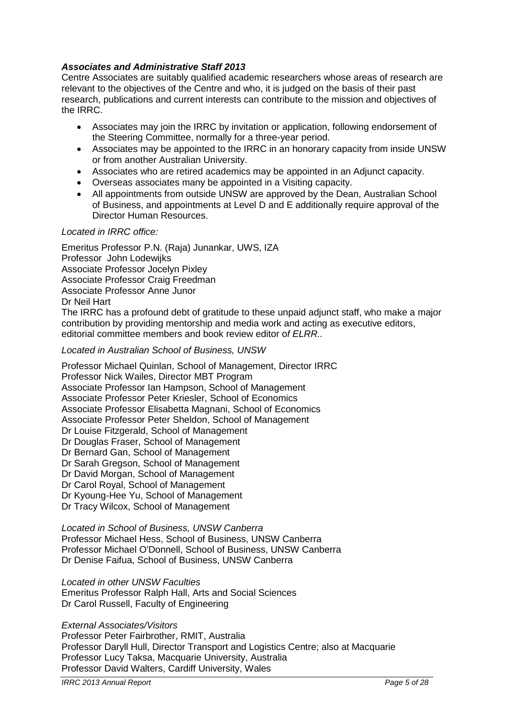# *Associates and Administrative Staff 2013*

Centre Associates are suitably qualified academic researchers whose areas of research are relevant to the objectives of the Centre and who, it is judged on the basis of their past research, publications and current interests can contribute to the mission and objectives of the IRRC.

- Associates may join the IRRC by invitation or application, following endorsement of the Steering Committee, normally for a three-year period.
- Associates may be appointed to the IRRC in an honorary capacity from inside UNSW or from another Australian University.
- Associates who are retired academics may be appointed in an Adjunct capacity.
- Overseas associates many be appointed in a Visiting capacity.
- All appointments from outside UNSW are approved by the Dean, Australian School of Business, and appointments at Level D and E additionally require approval of the Director Human Resources.

# *Located in IRRC office:*

Emeritus Professor P.N. (Raja) Junankar, UWS, IZA Professor John Lodewijks Associate Professor Jocelyn Pixley Associate Professor Craig Freedman Associate Professor Anne Junor Dr Neil Hart The IRRC has a profound debt of gratitude to these unpaid adjunct staff, who make a major contribution by providing mentorship and media work and acting as executive editors, editorial committee members and book review editor o*f ELRR..* 

*Located in Australian School of Business, UNSW*

Professor Michael Quinlan, School of Management, Director IRRC Professor Nick Wailes, Director MBT Program Associate Professor Ian Hampson, School of Management Associate Professor Peter Kriesler, School of Economics Associate Professor Elisabetta Magnani, School of Economics Associate Professor Peter Sheldon, School of Management Dr Louise Fitzgerald, School of Management Dr Douglas Fraser, School of Management Dr Bernard Gan, School of Management Dr Sarah Gregson, School of Management Dr David Morgan, School of Management Dr Carol Royal, School of Management Dr Kyoung-Hee Yu, School of Management Dr Tracy Wilcox, School of Management

#### *Located in School of Business, UNSW Canberra*

Professor Michael Hess, School of Business, UNSW Canberra Professor Michael O'Donnell, School of Business, UNSW Canberra Dr Denise Faifua, School of Business, UNSW Canberra

#### *Located in other UNSW Faculties*

Emeritus Professor Ralph Hall, Arts and Social Sciences Dr Carol Russell, Faculty of Engineering

#### *External Associates/Visitors*

Professor Peter Fairbrother, RMIT, Australia Professor Daryll Hull, Director Transport and Logistics Centre; also at Macquarie Professor Lucy Taksa, Macquarie University, Australia Professor David Walters, Cardiff University, Wales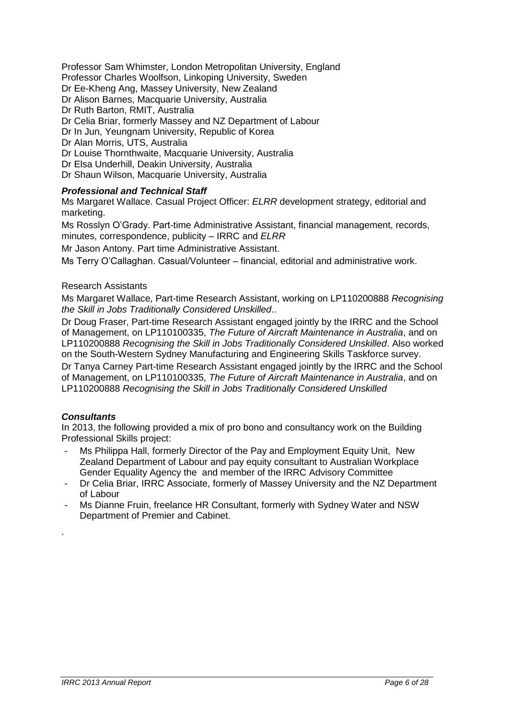Professor Sam Whimster, London Metropolitan University, England

Professor Charles Woolfson, Linkoping University, Sweden

Dr Ee-Kheng Ang, Massey University, New Zealand

Dr Alison Barnes, Macquarie University, Australia

Dr Ruth Barton, RMIT, Australia

Dr Celia Briar, formerly Massey and NZ Department of Labour

Dr In Jun, Yeungnam University, Republic of Korea

Dr Alan Morris, UTS, Australia

Dr Louise Thornthwaite, Macquarie University, Australia

Dr Elsa Underhill, Deakin University, Australia

Dr Shaun Wilson, Macquarie University, Australia

# *Professional and Technical Staff*

Ms Margaret Wallace. Casual Project Officer: *ELRR* development strategy, editorial and marketing.

Ms Rosslyn O'Grady. Part-time Administrative Assistant, financial management, records, minutes, correspondence, publicity – IRRC and *ELRR*

Mr Jason Antony. Part time Administrative Assistant.

Ms Terry O'Callaghan. Casual/Volunteer – financial, editorial and administrative work.

# Research Assistants

Ms Margaret Wallace, Part-time Research Assistant, working on LP110200888 *Recognising the Skill in Jobs Traditionally Considered Unskilled*..

Dr Doug Fraser, Part-time Research Assistant engaged jointly by the IRRC and the School of Management, on LP110100335, *The Future of Aircraft Maintenance in Australia*, and on LP110200888 *Recognising the Skill in Jobs Traditionally Considered Unskilled*. Also worked on the South-Western Sydney Manufacturing and Engineering Skills Taskforce survey.

Dr Tanya Carney Part-time Research Assistant engaged jointly by the IRRC and the School of Management, on LP110100335, *The Future of Aircraft Maintenance in Australia*, and on LP110200888 *Recognising the Skill in Jobs Traditionally Considered Unskilled*

# *Consultants*

.

In 2013, the following provided a mix of pro bono and consultancy work on the Building Professional Skills project:

- Ms Philippa Hall, formerly Director of the Pay and Employment Equity Unit, New Zealand Department of Labour and pay equity consultant to Australian Workplace Gender Equality Agency the and member of the IRRC Advisory Committee
- Dr Celia Briar, IRRC Associate, formerly of Massey University and the NZ Department of Labour
- Ms Dianne Fruin, freelance HR Consultant, formerly with Sydney Water and NSW Department of Premier and Cabinet.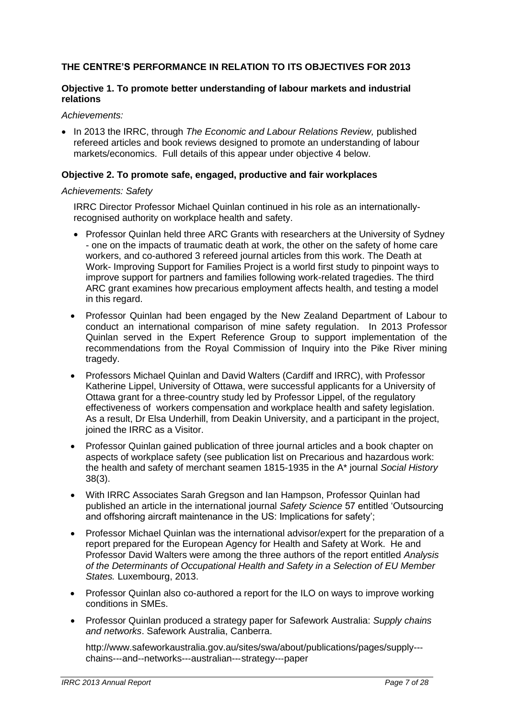# **THE CENTRE'S PERFORMANCE IN RELATION TO ITS OBJECTIVES FOR 2013**

# **Objective 1. To promote better understanding of labour markets and industrial relations**

*Achievements:* 

 In 2013 the IRRC, through *The Economic and Labour Relations Review,* published refereed articles and book reviews designed to promote an understanding of labour markets/economics. Full details of this appear under objective 4 below.

# **Objective 2. To promote safe, engaged, productive and fair workplaces**

*Achievements: Safety*

IRRC Director Professor Michael Quinlan continued in his role as an internationallyrecognised authority on workplace health and safety.

- Professor Quinlan held three ARC Grants with researchers at the University of Sydney - one on the impacts of traumatic death at work, the other on the safety of home care workers, and co-authored 3 refereed journal articles from this work. The Death at Work- Improving Support for Families Project is a world first study to pinpoint ways to improve support for partners and families following work-related tragedies. The third ARC grant examines how precarious employment affects health, and testing a model in this regard.
- Professor Quinlan had been engaged by the New Zealand Department of Labour to conduct an international comparison of mine safety regulation. In 2013 Professor Quinlan served in the Expert Reference Group to support implementation of the recommendations from the Royal Commission of Inquiry into the Pike River mining tragedy.
- Professors Michael Quinlan and David Walters (Cardiff and IRRC), with Professor Katherine Lippel, University of Ottawa, were successful applicants for a University of Ottawa grant for a three-country study led by Professor Lippel, of the regulatory effectiveness of workers compensation and workplace health and safety legislation. As a result, Dr Elsa Underhill, from Deakin University, and a participant in the project, joined the IRRC as a Visitor.
- Professor Quinlan gained publication of three journal articles and a book chapter on aspects of workplace safety (see publication list on Precarious and hazardous work: the health and safety of merchant seamen 1815-1935 in the A\* journal *Social History*  38(3).
- With IRRC Associates Sarah Gregson and Ian Hampson, Professor Quinlan had published an article in the international journal *Safety Science* 57 entitled 'Outsourcing and offshoring aircraft maintenance in the US: Implications for safety';
- Professor Michael Quinlan was the international advisor/expert for the preparation of a report prepared for the European Agency for Health and Safety at Work. He and Professor David Walters were among the three authors of the report entitled *Analysis of the Determinants of Occupational Health and Safety in a Selection of EU Member States.* Luxembourg, 2013.
- Professor Quinlan also co-authored a report for the ILO on ways to improve working conditions in SMEs.
- Professor Quinlan produced a strategy paper for Safework Australia: *Supply chains and networks*. Safework Australia, Canberra.

http://www.safeworkaustralia.gov.au/sites/swa/about/publications/pages/supply--‐ chains--‐and--networks--‐australian--‐strategy--‐paper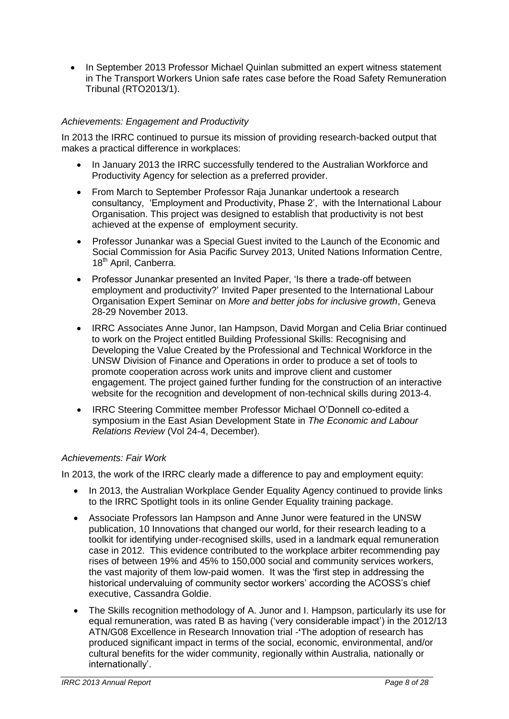• In September 2013 Professor Michael Quinlan submitted an expert witness statement in The Transport Workers Union safe rates case before the Road Safety Remuneration Tribunal (RTO2013/1).

# *Achievements: Engagement and Productivity*

In 2013 the IRRC continued to pursue its mission of providing research-backed output that makes a practical difference in workplaces:

- In January 2013 the IRRC successfully tendered to the Australian Workforce and Productivity Agency for selection as a preferred provider.
- From March to September Professor Raja Junankar undertook a research consultancy, 'Employment and Productivity, Phase 2', with the International Labour Organisation. This project was designed to establish that productivity is not best achieved at the expense of employment security.
- Professor Junankar was a Special Guest invited to the Launch of the Economic and Social Commission for Asia Pacific Survey 2013, United Nations Information Centre, 18<sup>th</sup> April, Canberra.
- Professor Junankar presented an Invited Paper, 'Is there a trade-off between employment and productivity?' Invited Paper presented to the International Labour Organisation Expert Seminar on *More and better jobs for inclusive growth*, Geneva 28-29 November 2013.
- IRRC Associates Anne Junor, Ian Hampson, David Morgan and Celia Briar continued to work on the Project entitled Building Professional Skills: Recognising and Developing the Value Created by the Professional and Technical Workforce in the UNSW Division of Finance and Operations in order to produce a set of tools to promote cooperation across work units and improve client and customer engagement. The project gained further funding for the construction of an interactive website for the recognition and development of non-technical skills during 2013-4.
- IRRC Steering Committee member Professor Michael O'Donnell co-edited a symposium in the East Asian Development State in *The Economic and Labour Relations Review* (Vol 24-4, December).

# *Achievements: Fair Work*

In 2013, the work of the IRRC clearly made a difference to pay and employment equity:

- In 2013, the Australian Workplace Gender Equality Agency continued to provide links to the IRRC Spotlight tools in its online Gender Equality training package.
- Associate Professors Ian Hampson and Anne Junor were featured in the UNSW publication, 10 Innovations that changed our world, for their research leading to a toolkit for identifying under-recognised skills, used in a landmark equal remuneration case in 2012. This evidence contributed to the workplace arbiter recommending pay rises of between 19% and 45% to 150,000 social and community services workers, the vast majority of them low-paid women. It was the 'first step in addressing the historical undervaluing of community sector workers' according the ACOSS's chief executive, Cassandra Goldie.
- The Skills recognition methodology of A. Junor and I. Hampson, particularly its use for equal remuneration, was rated B as having ('very considerable impact') in the 2012/13 ATN/G08 Excellence in Research Innovation trial -**'**The adoption of research has produced significant impact in terms of the social, economic, environmental, and/or cultural benefits for the wider community, regionally within Australia, nationally or internationally'.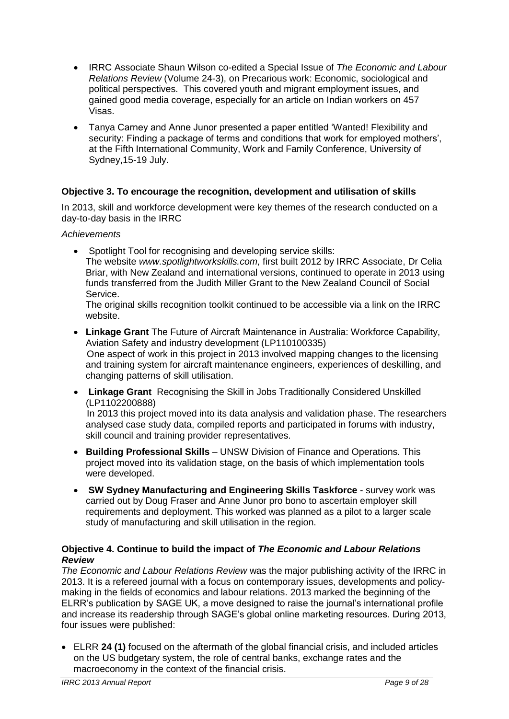- IRRC Associate Shaun Wilson co-edited a Special Issue of *The Economic and Labour Relations Review* (Volume 24-3), on Precarious work: Economic, sociological and political perspectives. This covered youth and migrant employment issues, and gained good media coverage, especially for an article on Indian workers on 457 Visas.
- Tanya Carney and Anne Junor presented a paper entitled 'Wanted! Flexibility and security: Finding a package of terms and conditions that work for employed mothers', at the Fifth International Community, Work and Family Conference, University of Sydney,15-19 July.

# **Objective 3. To encourage the recognition, development and utilisation of skills**

In 2013, skill and workforce development were key themes of the research conducted on a day-to-day basis in the IRRC

# *Achievements*

• Spotlight Tool for recognising and developing service skills: The website *www.spotlightworkskills.com,* first built 2012 by IRRC Associate, Dr Celia Briar, with New Zealand and international versions, continued to operate in 2013 using funds transferred from the Judith Miller Grant to the New Zealand Council of Social Service.

The original skills recognition toolkit continued to be accessible via a link on the IRRC website.

- **Linkage Grant** The Future of Aircraft Maintenance in Australia: Workforce Capability, Aviation Safety and industry development (LP110100335) One aspect of work in this project in 2013 involved mapping changes to the licensing and training system for aircraft maintenance engineers, experiences of deskilling, and changing patterns of skill utilisation.
- **Linkage Grant** Recognising the Skill in Jobs Traditionally Considered Unskilled (LP1102200888)

 In 2013 this project moved into its data analysis and validation phase. The researchers analysed case study data, compiled reports and participated in forums with industry, skill council and training provider representatives.

- **Building Professional Skills** UNSW Division of Finance and Operations. This project moved into its validation stage, on the basis of which implementation tools were developed.
- **SW Sydney Manufacturing and Engineering Skills Taskforce**  survey work was carried out by Doug Fraser and Anne Junor pro bono to ascertain employer skill requirements and deployment. This worked was planned as a pilot to a larger scale study of manufacturing and skill utilisation in the region.

# **Objective 4. Continue to build the impact of** *The Economic and Labour Relations Review*

*The Economic and Labour Relations Review* was the major publishing activity of the IRRC in 2013. It is a refereed journal with a focus on contemporary issues, developments and policymaking in the fields of economics and labour relations. 2013 marked the beginning of the ELRR's publication by SAGE UK, a move designed to raise the journal's international profile and increase its readership through SAGE's global online marketing resources. During 2013, four issues were published:

 ELRR **24 (1)** focused on the aftermath of the global financial crisis, and included articles on the US budgetary system, the role of central banks, exchange rates and the macroeconomy in the context of the financial crisis.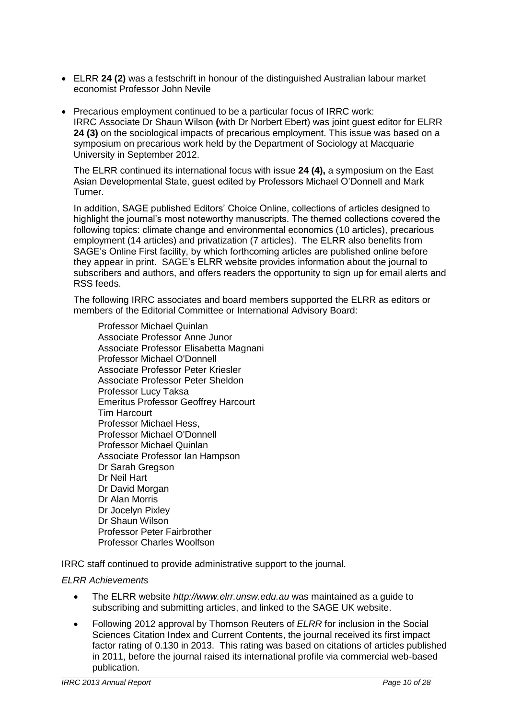- ELRR **24 (2)** was a festschrift in honour of the distinguished Australian labour market economist Professor John Nevile
- Precarious employment continued to be a particular focus of IRRC work: IRRC Associate Dr Shaun Wilson **(**with Dr Norbert Ebert) was joint guest editor for ELRR **24 (3)** on the sociological impacts of precarious employment. This issue was based on a symposium on precarious work held by the Department of Sociology at Macquarie University in September 2012.

The ELRR continued its international focus with issue **24 (4),** a symposium on the East Asian Developmental State, guest edited by Professors Michael O'Donnell and Mark Turner.

In addition, SAGE published Editors' Choice Online, collections of articles designed to highlight the journal's most noteworthy manuscripts. The themed collections covered the following topics: climate change and environmental economics (10 articles), precarious employment (14 articles) and privatization (7 articles). The ELRR also benefits from SAGE's Online First facility, by which forthcoming articles are published online before they appear in print. SAGE's ELRR website provides information about the journal to subscribers and authors, and offers readers the opportunity to sign up for email alerts and RSS feeds.

The following IRRC associates and board members supported the ELRR as editors or members of the Editorial Committee or International Advisory Board:

[Professor Michael Quinlan](http://www.asb.unsw.edu.au/schools/Pages/MichaelQuinlan.aspx) [Associate Professor Anne Junor](http://www.asb.unsw.edu.au/schools/Pages/AnneJunor.aspx) [Associate Professor Elisabetta Magnani](http://www.asb.unsw.edu.au/schools/Pages/ElisabettaMagnani.aspx) [Professor Michael O'Donnell](http://bus.unsw.adfa.edu.au/staff/profiles/odonnell-michael.php)  [Associate Professor Peter Kriesler](http://www.asb.unsw.edu.au/schools/Pages/PeterKriesler.aspx) [Associate Professor Peter Sheldon](http://www.asb.unsw.edu.au/schools/Pages/PeterSheldon.aspx) [Professor Lucy Taksa](http://www.businessandeconomics.mq.edu.au/contact_the_faculty/all_fbe_staff/lucy_taksa) [Emeritus Professor Geoffrey Harcourt](http://www.assa.edu.au/fellowship/fellow/130) Tim Harcourt [Professor Michael Hess,](https://research.unsw.edu.au/people/professor-michael-hess) [Professor Michael O'Donnell](http://bus.unsw.adfa.edu.au/staff/profiles/odonnell-michael.php) [Professor Michael Quinlan](http://www.asb.unsw.edu.au/schools/Pages/MichaelQuinlan.aspx) [Associate Professor Ian Hampson](http://www.asb.unsw.edu.au/schools/Pages/IanHampson.aspx) [Dr Sarah Gregson](http://www.asb.unsw.edu.au/schools/Pages/SarahGregson.aspx) [Dr Neil Hart](http://www.uws.edu.au/staff_profiles/uws_profiles/doctor_neil_hart) [Dr David Morgan](http://www.asb.unsw.edu.au/schools/Pages/DavidMorgan.aspx) Dr Alan Morris [Dr Jocelyn Pixley](http://www.asb.unsw.edu.au/schools/Academics%20documents/Jocelyn%20Pixley%20CV.pdf) Dr Shaun Wilson [Professor Peter Fairbrother](http://www.rmit.edu.au/browse/About%20RMIT/Contact%20Us/Staff/by%20name/F/;ID=vbpjvmmvxn0qz;STATUS=A) [Professor Charles Woolfson](http://www.isv.liu.se/medarbetare-vid-isv/woolfson-charles?l=en)

IRRC staff continued to provide administrative support to the journal.

# *ELRR Achievements*

- The ELRR website *http://www.elrr.unsw.edu.au* was maintained as a guide to subscribing and submitting articles, and linked to the SAGE UK website.
- Following 2012 approval by Thomson Reuters of *ELRR* for inclusion in the Social Sciences Citation Index and Current Contents, the journal received its first impact factor rating of 0.130 in 2013. This rating was based on citations of articles published in 2011, before the journal raised its international profile via commercial web-based publication.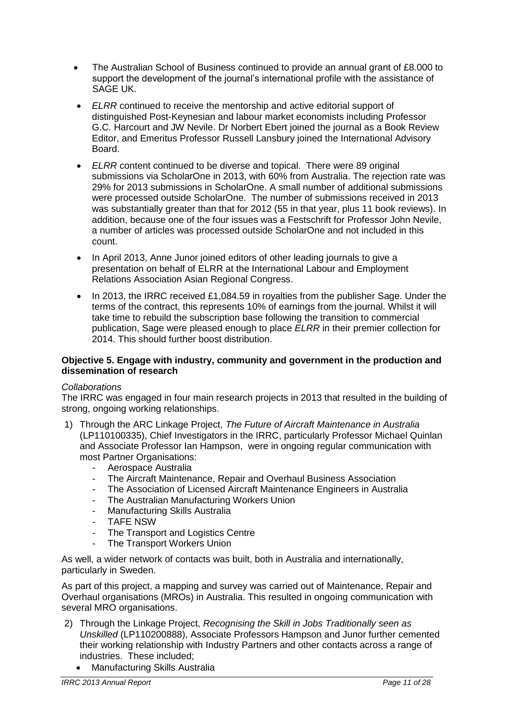- The Australian School of Business continued to provide an annual grant of £8.000 to support the development of the journal's international profile with the assistance of SAGE UK.
- *ELRR* continued to receive the mentorship and active editorial support of distinguished Post-Keynesian and labour market economists including Professor G.C. Harcourt and JW Nevile. Dr Norbert Ebert joined the journal as a Book Review Editor, and Emeritus Professor Russell Lansbury joined the International Advisory Board.
- *ELRR* content continued to be diverse and topical. There were 89 original submissions via ScholarOne in 2013, with 60% from Australia. The rejection rate was 29% for 2013 submissions in ScholarOne. A small number of additional submissions were processed outside ScholarOne. The number of submissions received in 2013 was substantially greater than that for 2012 (55 in that year, plus 11 book reviews). In addition, because one of the four issues was a Festschrift for Professor John Nevile, a number of articles was processed outside ScholarOne and not included in this count.
- In April 2013, Anne Junor joined editors of other leading journals to give a presentation on behalf of ELRR at the International Labour and Employment Relations Association Asian Regional Congress.
- In 2013, the IRRC received £1,084.59 in royalties from the publisher Sage. Under the terms of the contract, this represents 10% of earnings from the journal. Whilst it will take time to rebuild the subscription base following the transition to commercial publication, Sage were pleased enough to place *ELRR* in their premier collection for 2014. This should further boost distribution.

# **Objective 5. Engage with industry, community and government in the production and dissemination of research**

# *Collaborations*

The IRRC was engaged in four main research projects in 2013 that resulted in the building of strong, ongoing working relationships.

- 1) Through the ARC Linkage Project, *The Future of Aircraft Maintenance in Australia* (LP110100335), Chief Investigators in the IRRC, particularly Professor Michael Quinlan and Associate Professor Ian Hampson, were in ongoing regular communication with most Partner Organisations:
	- Aerospace Australia
	- The Aircraft Maintenance, Repair and Overhaul Business Association
	- The Association of Licensed Aircraft Maintenance Engineers in Australia
	- The Australian Manufacturing Workers Union
	- Manufacturing Skills Australia
	- TAFE NSW
	- The Transport and Logistics Centre
	- The Transport Workers Union

As well, a wider network of contacts was built, both in Australia and internationally, particularly in Sweden.

As part of this project, a mapping and survey was carried out of Maintenance, Repair and Overhaul organisations (MROs) in Australia. This resulted in ongoing communication with several MRO organisations.

- 2) Through the Linkage Project, *Recognising the Skill in Jobs Traditionally seen as Unskilled* (LP110200888), Associate Professors Hampson and Junor further cemented their working relationship with Industry Partners and other contacts across a range of industries. These included;
	- Manufacturing Skills Australia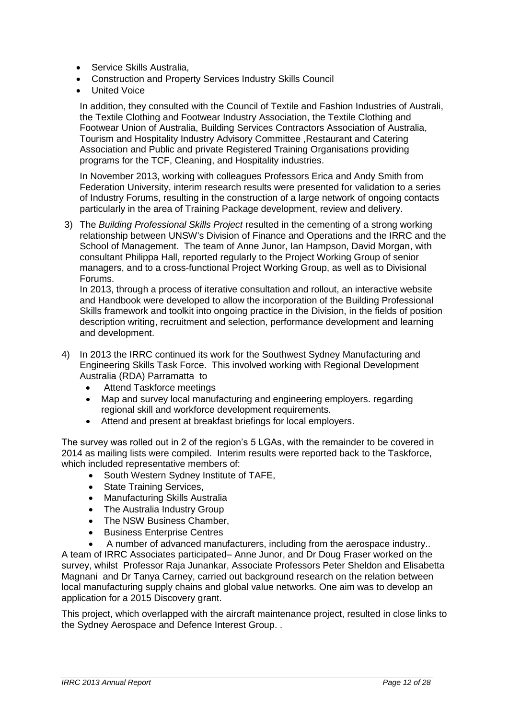- Service Skills Australia.
- Construction and Property Services Industry Skills Council
- United Voice

In addition, they consulted with the Council of Textile and Fashion Industries of Australi, the Textile Clothing and Footwear Industry Association, the Textile Clothing and Footwear Union of Australia, Building Services Contractors Association of Australia, Tourism and Hospitality Industry Advisory Committee ,Restaurant and Catering Association and Public and private Registered Training Organisations providing programs for the TCF, Cleaning, and Hospitality industries.

In November 2013, working with colleagues Professors Erica and Andy Smith from Federation University, interim research results were presented for validation to a series of Industry Forums, resulting in the construction of a large network of ongoing contacts particularly in the area of Training Package development, review and delivery.

3) The *Building Professional Skills Project* resulted in the cementing of a strong working relationship between UNSW's Division of Finance and Operations and the IRRC and the School of Management. The team of Anne Junor, Ian Hampson, David Morgan, with consultant Philippa Hall, reported regularly to the Project Working Group of senior managers, and to a cross-functional Project Working Group, as well as to Divisional Forums.

In 2013, through a process of iterative consultation and rollout, an interactive website and Handbook were developed to allow the incorporation of the Building Professional Skills framework and toolkit into ongoing practice in the Division, in the fields of position description writing, recruitment and selection, performance development and learning and development.

- 4) In 2013 the IRRC continued its work for the Southwest Sydney Manufacturing and Engineering Skills Task Force. This involved working with Regional Development Australia (RDA) Parramatta to
	- Attend Taskforce meetings
	- Map and survey local manufacturing and engineering employers. regarding regional skill and workforce development requirements.
	- Attend and present at breakfast briefings for local employers.

The survey was rolled out in 2 of the region's 5 LGAs, with the remainder to be covered in 2014 as mailing lists were compiled. Interim results were reported back to the Taskforce, which included representative members of:

- South Western Sydney Institute of TAFE,
- State Training Services,
- Manufacturing Skills Australia
- The Australia Industry Group
- The NSW Business Chamber,
- Business Enterprise Centres

 A number of advanced manufacturers, including from the aerospace industry.. A team of IRRC Associates participated– Anne Junor, and Dr Doug Fraser worked on the survey, whilst Professor Raja Junankar, Associate Professors Peter Sheldon and Elisabetta Magnani and Dr Tanya Carney, carried out background research on the relation between local manufacturing supply chains and global value networks. One aim was to develop an application for a 2015 Discovery grant.

This project, which overlapped with the aircraft maintenance project, resulted in close links to the Sydney Aerospace and Defence Interest Group. .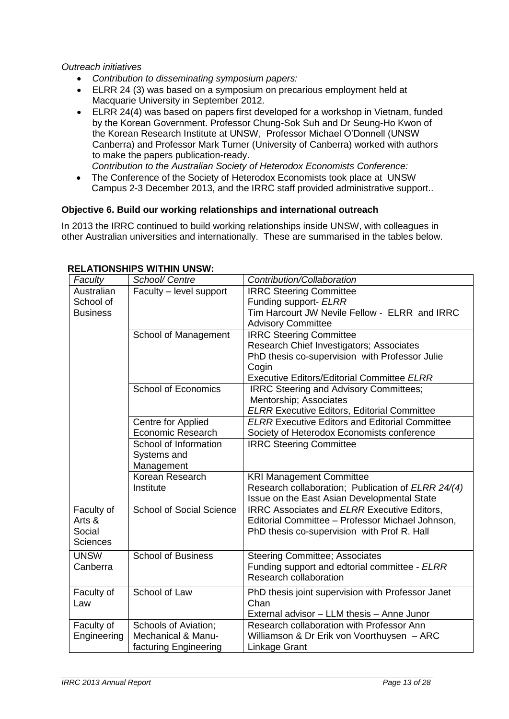*Outreach initiatives* 

- *Contribution to disseminating symposium papers:*
- ELRR 24 (3) was based on a symposium on precarious employment held at Macquarie University in September 2012.
- ELRR 24(4) was based on papers first developed for a workshop in Vietnam, funded by the Korean Government. Professor Chung-Sok Suh and Dr Seung-Ho Kwon of the Korean Research Institute at UNSW, Professor Michael O'Donnell (UNSW Canberra) and Professor Mark Turner (University of Canberra) worked with authors to make the papers publication-ready.

*Contribution to the Australian Society of Heterodox Economists Conference:* 

 The Conference of the Society of Heterodox Economists took place at UNSW Campus 2-3 December 2013, and the IRRC staff provided administrative support..

# **Objective 6. Build our working relationships and international outreach**

In 2013 the IRRC continued to build working relationships inside UNSW, with colleagues in other Australian universities and internationally. These are summarised in the tables below.

| Faculty         | School/ Centre                  | Contribution/Collaboration                            |  |
|-----------------|---------------------------------|-------------------------------------------------------|--|
| Australian      | Faculty - level support         | <b>IRRC Steering Committee</b>                        |  |
| School of       |                                 | Funding support- ELRR                                 |  |
| <b>Business</b> |                                 | Tim Harcourt JW Nevile Fellow - ELRR and IRRC         |  |
|                 |                                 | <b>Advisory Committee</b>                             |  |
|                 | School of Management            | <b>IRRC Steering Committee</b>                        |  |
|                 |                                 | Research Chief Investigators; Associates              |  |
|                 |                                 | PhD thesis co-supervision with Professor Julie        |  |
|                 |                                 | Cogin                                                 |  |
|                 |                                 | <b>Executive Editors/Editorial Committee ELRR</b>     |  |
|                 | <b>School of Economics</b>      | <b>IRRC Steering and Advisory Committees;</b>         |  |
|                 |                                 | Mentorship; Associates                                |  |
|                 |                                 | <b>ELRR Executive Editors, Editorial Committee</b>    |  |
|                 | Centre for Applied              | <b>ELRR Executive Editors and Editorial Committee</b> |  |
|                 | <b>Economic Research</b>        | Society of Heterodox Economists conference            |  |
|                 | School of Information           | <b>IRRC Steering Committee</b>                        |  |
|                 | Systems and                     |                                                       |  |
|                 | Management                      |                                                       |  |
|                 | Korean Research                 | <b>KRI Management Committee</b>                       |  |
|                 | Institute                       | Research collaboration; Publication of ELRR 24/(4)    |  |
|                 |                                 | Issue on the East Asian Developmental State           |  |
| Faculty of      | <b>School of Social Science</b> | <b>IRRC Associates and ELRR Executive Editors,</b>    |  |
| Arts &          |                                 | Editorial Committee - Professor Michael Johnson,      |  |
| Social          |                                 | PhD thesis co-supervision with Prof R. Hall           |  |
| <b>Sciences</b> |                                 |                                                       |  |
| <b>UNSW</b>     | <b>School of Business</b>       | <b>Steering Committee; Associates</b>                 |  |
| Canberra        |                                 | Funding support and edtorial committee - ELRR         |  |
|                 |                                 | Research collaboration                                |  |
| Faculty of      | School of Law                   | PhD thesis joint supervision with Professor Janet     |  |
| Law             |                                 | Chan                                                  |  |
|                 |                                 | External advisor - LLM thesis - Anne Junor            |  |
| Faculty of      | <b>Schools of Aviation;</b>     | Research collaboration with Professor Ann             |  |
| Engineering     | Mechanical & Manu-              | Williamson & Dr Erik von Voorthuysen - ARC            |  |
|                 | facturing Engineering           | Linkage Grant                                         |  |

#### **RELATIONSHIPS WITHIN UNSW:**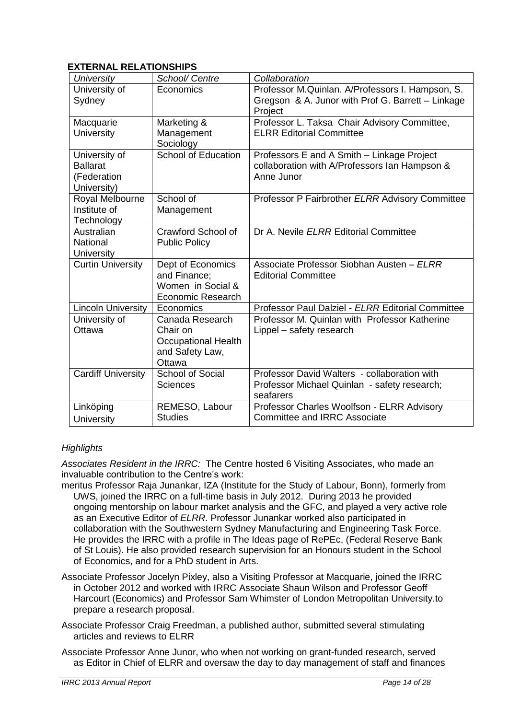# **EXTERNAL RELATIONSHIPS**

| University                           | School/ Centre             | Collaboration                                                |
|--------------------------------------|----------------------------|--------------------------------------------------------------|
| University of                        | Economics                  | Professor M.Quinlan. A/Professors I. Hampson, S.             |
| Sydney                               |                            | Gregson & A. Junor with Prof G. Barrett - Linkage<br>Project |
| Macquarie                            | Marketing &                | Professor L. Taksa Chair Advisory Committee,                 |
| University                           | Management<br>Sociology    | <b>ELRR Editorial Committee</b>                              |
| University of                        | <b>School of Education</b> | Professors E and A Smith - Linkage Project                   |
| <b>Ballarat</b>                      |                            | collaboration with A/Professors Ian Hampson &                |
| (Federation                          |                            | Anne Junor                                                   |
| University)                          |                            |                                                              |
| Royal Melbourne                      | School of                  | Professor P Fairbrother ELRR Advisory Committee              |
| Institute of                         | Management                 |                                                              |
| Technology                           |                            |                                                              |
| Australian                           | Crawford School of         | Dr A. Nevile ELRR Editorial Committee                        |
| <b>National</b><br><b>University</b> | <b>Public Policy</b>       |                                                              |
| <b>Curtin University</b>             | Dept of Economics          | Associate Professor Siobhan Austen - ELRR                    |
|                                      | and Finance:               | <b>Editorial Committee</b>                                   |
|                                      | Women in Social &          |                                                              |
|                                      | <b>Economic Research</b>   |                                                              |
| <b>Lincoln University</b>            | Economics                  | Professor Paul Dalziel - ELRR Editorial Committee            |
| University of                        | Canada Research            | Professor M. Quinlan with Professor Katherine                |
| Ottawa                               | Chair on                   | Lippel – safety research                                     |
|                                      | <b>Occupational Health</b> |                                                              |
|                                      | and Safety Law,            |                                                              |
|                                      | Ottawa                     |                                                              |
| <b>Cardiff University</b>            | <b>School of Social</b>    | Professor David Walters - collaboration with                 |
|                                      | <b>Sciences</b>            | Professor Michael Quinlan - safety research;                 |
|                                      |                            | seafarers                                                    |
| Linköping                            | REMESO, Labour             | Professor Charles Woolfson - ELRR Advisory                   |
| University                           | <b>Studies</b>             | <b>Committee and IRRC Associate</b>                          |

# *Highlights*

*Associates Resident in the IRRC:* The Centre hosted 6 Visiting Associates, who made an invaluable contribution to the Centre's work:

- meritus Professor Raja Junankar, IZA (Institute for the Study of Labour, Bonn), formerly from UWS, joined the IRRC on a full-time basis in July 2012. During 2013 he provided ongoing mentorship on labour market analysis and the GFC, and played a very active role as an Executive Editor of *ELRR*. Professor Junankar worked also participated in collaboration with the Southwestern Sydney Manufacturing and Engineering Task Force. He provides the IRRC with a profile in The Ideas page of RePEc, (Federal Reserve Bank of St Louis). He also provided research supervision for an Honours student in the School of Economics, and for a PhD student in Arts.
- Associate Professor Jocelyn Pixley, also a Visiting Professor at Macquarie, joined the IRRC in October 2012 and worked with IRRC Associate Shaun Wilson and Professor Geoff Harcourt (Economics) and Professor Sam Whimster of London Metropolitan University.to prepare a research proposal.
- Associate Professor Craig Freedman, a published author, submitted several stimulating articles and reviews to ELRR

Associate Professor Anne Junor, who when not working on grant-funded research, served as Editor in Chief of ELRR and oversaw the day to day management of staff and finances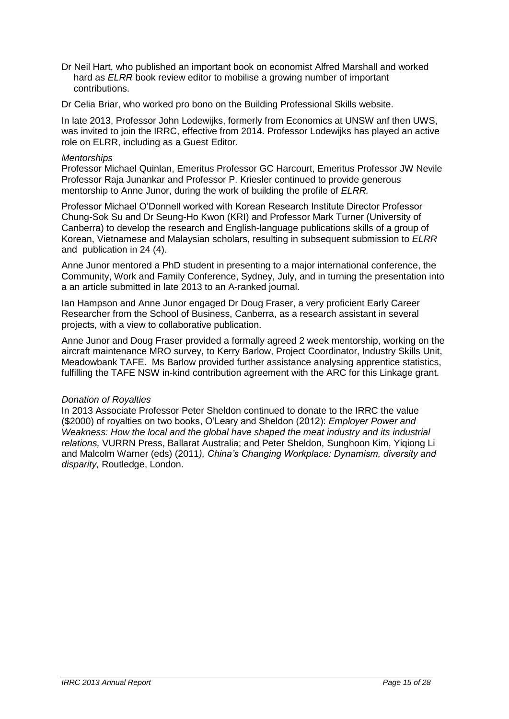- Dr Neil Hart, who published an important book on economist Alfred Marshall and worked hard as *ELRR* book review editor to mobilise a growing number of important contributions.
- Dr Celia Briar, who worked pro bono on the Building Professional Skills website.

In late 2013, Professor John Lodewijks, formerly from Economics at UNSW anf then UWS, was invited to join the IRRC, effective from 2014. Professor Lodewijks has played an active role on ELRR, including as a Guest Editor.

### *Mentorships*

Professor Michael Quinlan, Emeritus Professor GC Harcourt, Emeritus Professor JW Nevile Professor Raja Junankar and Professor P. Kriesler continued to provide generous mentorship to Anne Junor, during the work of building the profile of *ELRR.* 

Professor Michael O'Donnell worked with Korean Research Institute Director Professor Chung-Sok Su and Dr Seung-Ho Kwon (KRI) and Professor Mark Turner (University of Canberra) to develop the research and English-language publications skills of a group of Korean, Vietnamese and Malaysian scholars, resulting in subsequent submission to *ELRR* and publication in 24 (4).

Anne Junor mentored a PhD student in presenting to a major international conference, the Community, Work and Family Conference, Sydney, July, and in turning the presentation into a an article submitted in late 2013 to an A-ranked journal.

Ian Hampson and Anne Junor engaged Dr Doug Fraser, a very proficient Early Career Researcher from the School of Business, Canberra, as a research assistant in several projects, with a view to collaborative publication.

Anne Junor and Doug Fraser provided a formally agreed 2 week mentorship, working on the aircraft maintenance MRO survey, to Kerry Barlow, Project Coordinator, Industry Skills Unit, Meadowbank TAFE. Ms Barlow provided further assistance analysing apprentice statistics, fulfilling the TAFE NSW in-kind contribution agreement with the ARC for this Linkage grant.

#### *Donation of Royalties*

In 2013 Associate Professor Peter Sheldon continued to donate to the IRRC the value (\$2000) of royalties on two books, O'Leary and Sheldon (2012): *Employer Power and Weakness: How the local and the global have shaped the meat industry and its industrial relations,* VURRN Press, Ballarat Australia; and Peter Sheldon, Sunghoon Kim, Yiqiong Li and Malcolm Warner (eds) (2011*), China's Changing Workplace: Dynamism, diversity and disparity,* Routledge, London.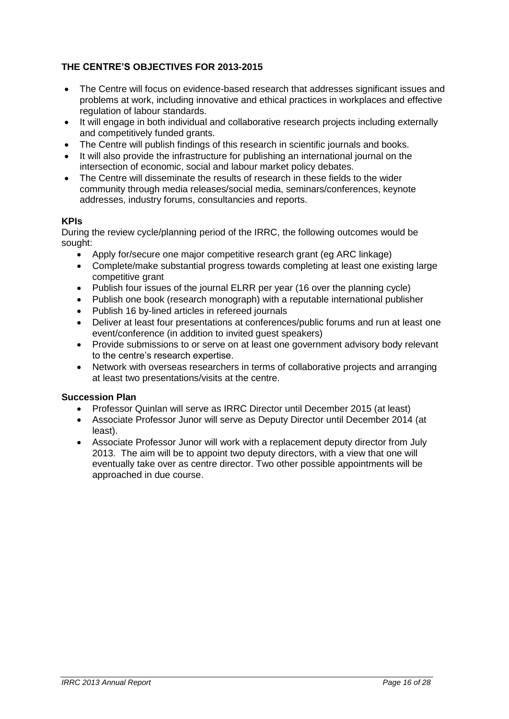# **THE CENTRE'S OBJECTIVES FOR 2013-2015**

- The Centre will focus on evidence-based research that addresses significant issues and problems at work, including innovative and ethical practices in workplaces and effective regulation of labour standards.
- It will engage in both individual and collaborative research projects including externally and competitively funded grants.
- The Centre will publish findings of this research in scientific journals and books.
- It will also provide the infrastructure for publishing an international journal on the intersection of economic, social and labour market policy debates.
- The Centre will disseminate the results of research in these fields to the wider community through media releases/social media, seminars/conferences, keynote addresses, industry forums, consultancies and reports.

# **KPIs**

During the review cycle/planning period of the IRRC, the following outcomes would be sought:

- Apply for/secure one major competitive research grant (eg ARC linkage)
- Complete/make substantial progress towards completing at least one existing large competitive grant
- Publish four issues of the journal ELRR per year (16 over the planning cycle)
- Publish one book (research monograph) with a reputable international publisher
- Publish 16 by-lined articles in refereed journals
- Deliver at least four presentations at conferences/public forums and run at least one event/conference (in addition to invited guest speakers)
- Provide submissions to or serve on at least one government advisory body relevant to the centre's research expertise.
- Network with overseas researchers in terms of collaborative projects and arranging at least two presentations/visits at the centre.

# **Succession Plan**

- Professor Quinlan will serve as IRRC Director until December 2015 (at least)
- Associate Professor Junor will serve as Deputy Director until December 2014 (at least).
- Associate Professor Junor will work with a replacement deputy director from July 2013. The aim will be to appoint two deputy directors, with a view that one will eventually take over as centre director. Two other possible appointments will be approached in due course.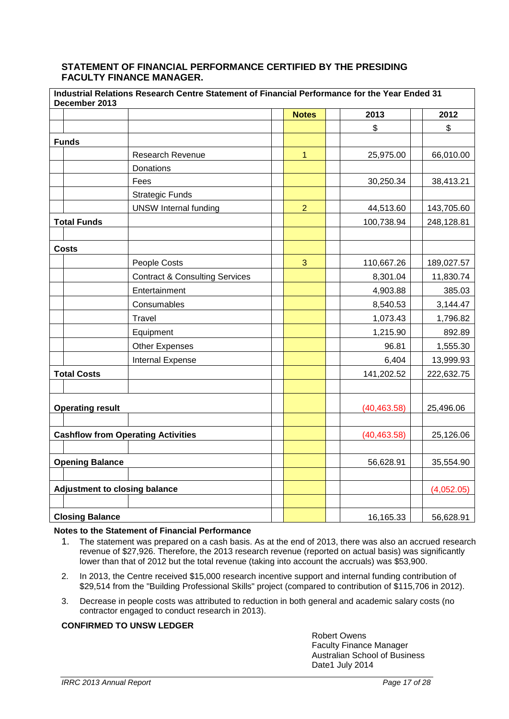### **STATEMENT OF FINANCIAL PERFORMANCE CERTIFIED BY THE PRESIDING FACULTY FINANCE MANAGER.**

|                                           | Industrial Relations Research Centre Statement of Financial Performance for the Year Ended 31<br>December 2013 |                                           |                |              |              |            |
|-------------------------------------------|----------------------------------------------------------------------------------------------------------------|-------------------------------------------|----------------|--------------|--------------|------------|
|                                           |                                                                                                                |                                           | <b>Notes</b>   |              | 2013         | 2012       |
|                                           |                                                                                                                |                                           |                |              | \$           | \$         |
|                                           | <b>Funds</b>                                                                                                   |                                           |                |              |              |            |
|                                           |                                                                                                                | <b>Research Revenue</b>                   | $\overline{1}$ |              | 25,975.00    | 66,010.00  |
|                                           |                                                                                                                | Donations                                 |                |              |              |            |
|                                           |                                                                                                                | Fees                                      |                |              | 30,250.34    | 38,413.21  |
|                                           |                                                                                                                | <b>Strategic Funds</b>                    |                |              |              |            |
|                                           |                                                                                                                | <b>UNSW Internal funding</b>              | $\overline{2}$ |              | 44,513.60    | 143,705.60 |
|                                           | <b>Total Funds</b>                                                                                             |                                           |                |              | 100,738.94   | 248,128.81 |
|                                           |                                                                                                                |                                           |                |              |              |            |
|                                           | <b>Costs</b>                                                                                                   |                                           |                |              |              |            |
|                                           |                                                                                                                | People Costs                              | 3              |              | 110,667.26   | 189,027.57 |
|                                           |                                                                                                                | <b>Contract &amp; Consulting Services</b> |                |              | 8,301.04     | 11,830.74  |
|                                           |                                                                                                                | Entertainment                             |                |              | 4,903.88     | 385.03     |
|                                           |                                                                                                                | Consumables                               |                |              | 8,540.53     | 3,144.47   |
|                                           |                                                                                                                | Travel                                    |                |              | 1,073.43     | 1,796.82   |
|                                           |                                                                                                                | Equipment                                 |                |              | 1,215.90     | 892.89     |
|                                           |                                                                                                                | <b>Other Expenses</b>                     |                |              | 96.81        | 1,555.30   |
|                                           |                                                                                                                | Internal Expense                          |                |              | 6,404        | 13,999.93  |
|                                           | <b>Total Costs</b>                                                                                             |                                           |                |              | 141,202.52   | 222,632.75 |
|                                           |                                                                                                                |                                           |                |              |              |            |
|                                           |                                                                                                                |                                           |                |              |              |            |
|                                           | <b>Operating result</b>                                                                                        |                                           |                |              | (40, 463.58) | 25,496.06  |
|                                           |                                                                                                                |                                           |                |              |              |            |
| <b>Cashflow from Operating Activities</b> |                                                                                                                |                                           |                | (40, 463.58) | 25,126.06    |            |
|                                           |                                                                                                                |                                           |                |              |              |            |
|                                           | <b>Opening Balance</b>                                                                                         |                                           |                |              | 56,628.91    | 35,554.90  |
|                                           |                                                                                                                |                                           |                |              |              |            |
|                                           | <b>Adjustment to closing balance</b>                                                                           |                                           |                |              |              | (4,052.05) |
|                                           |                                                                                                                |                                           |                |              |              |            |
| <b>Closing Balance</b>                    |                                                                                                                |                                           |                | 16,165.33    | 56,628.91    |            |

#### **Notes to the Statement of Financial Performance**

- 1. The statement was prepared on a cash basis. As at the end of 2013, there was also an accrued research revenue of \$27,926. Therefore, the 2013 research revenue (reported on actual basis) was significantly lower than that of 2012 but the total revenue (taking into account the accruals) was \$53,900.
- 2. In 2013, the Centre received \$15,000 research incentive support and internal funding contribution of \$29,514 from the "Building Professional Skills" project (compared to contribution of \$115,706 in 2012).
- 3. Decrease in people costs was attributed to reduction in both general and academic salary costs (no contractor engaged to conduct research in 2013).

#### **CONFIRMED TO UNSW LEDGER**

Robert Owens Faculty Finance Manager Australian School of Business Date1 July 2014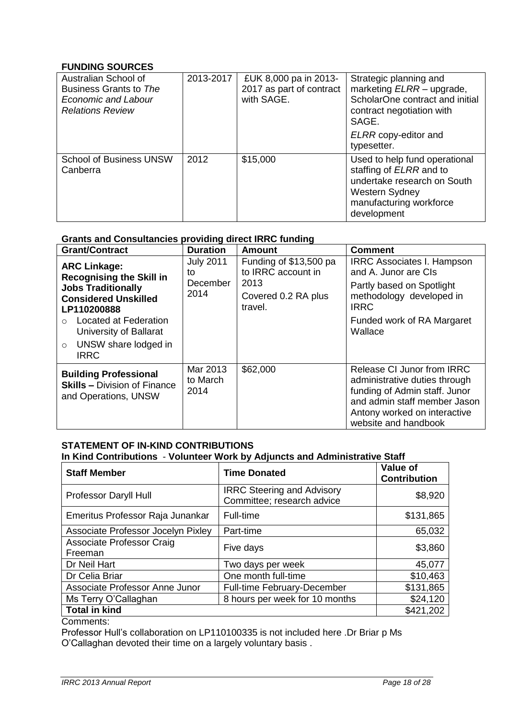# **FUNDING SOURCES**

| Australian School of<br>Business Grants to The<br>Economic and Labour<br><b>Relations Review</b> | 2013-2017 | £UK 8,000 pa in 2013-<br>2017 as part of contract<br>with SAGE. | Strategic planning and<br>marketing ELRR - upgrade,<br>ScholarOne contract and initial<br>contract negotiation with<br>SAGE.<br>ELRR copy-editor and<br>typesetter. |
|--------------------------------------------------------------------------------------------------|-----------|-----------------------------------------------------------------|---------------------------------------------------------------------------------------------------------------------------------------------------------------------|
| <b>School of Business UNSW</b><br>Canberra                                                       | 2012      | \$15,000                                                        | Used to help fund operational<br>staffing of <i>ELRR</i> and to<br>undertake research on South<br><b>Western Sydney</b><br>manufacturing workforce<br>development   |

# **Grants and Consultancies providing direct IRRC funding**

| <b>Grant/Contract</b>                                                                                                                                                                                                                  | <b>Duration</b>                            | <b>Amount</b>                                                                          | <b>Comment</b>                                                                                                                                                                       |
|----------------------------------------------------------------------------------------------------------------------------------------------------------------------------------------------------------------------------------------|--------------------------------------------|----------------------------------------------------------------------------------------|--------------------------------------------------------------------------------------------------------------------------------------------------------------------------------------|
| <b>ARC Linkage:</b><br><b>Recognising the Skill in</b><br><b>Jobs Traditionally</b><br><b>Considered Unskilled</b><br>LP110200888<br>Located at Federation<br>University of Ballarat<br>UNSW share lodged in<br>$\circ$<br><b>IRRC</b> | <b>July 2011</b><br>to<br>December<br>2014 | Funding of \$13,500 pa<br>to IRRC account in<br>2013<br>Covered 0.2 RA plus<br>travel. | <b>IRRC Associates I. Hampson</b><br>and A. Junor are CIs<br>Partly based on Spotlight<br>methodology developed in<br><b>IRRC</b><br>Funded work of RA Margaret<br>Wallace           |
| <b>Building Professional</b><br><b>Skills - Division of Finance</b><br>and Operations, UNSW                                                                                                                                            | Mar 2013<br>to March<br>2014               | \$62,000                                                                               | Release CI Junor from IRRC<br>administrative duties through<br>funding of Admin staff. Junor<br>and admin staff member Jason<br>Antony worked on interactive<br>website and handbook |

# **STATEMENT OF IN-KIND CONTRIBUTIONS In Kind Contributions** - **Volunteer Work by Adjuncts and Administrative Staff**

| <b>Staff Member</b>                         | <b>Time Donated</b>                                             | Value of<br><b>Contribution</b> |
|---------------------------------------------|-----------------------------------------------------------------|---------------------------------|
| Professor Daryll Hull                       | <b>IRRC Steering and Advisory</b><br>Committee; research advice | \$8,920                         |
| Emeritus Professor Raja Junankar            | Full-time                                                       | \$131,865                       |
| Associate Professor Jocelyn Pixley          | Part-time                                                       | 65,032                          |
| <b>Associate Professor Craig</b><br>Freeman | Five days                                                       | \$3,860                         |
| Dr Neil Hart                                | Two days per week                                               | 45,077                          |
| Dr Celia Briar                              | One month full-time                                             | \$10,463                        |
| Associate Professor Anne Junor              | <b>Full-time February-December</b>                              | \$131,865                       |
| Ms Terry O'Callaghan                        | 8 hours per week for 10 months                                  | \$24,120                        |
| <b>Total in kind</b>                        |                                                                 | \$421,202                       |

Comments:

Professor Hull's collaboration on LP110100335 is not included here .Dr Briar p Ms O'Callaghan devoted their time on a largely voluntary basis .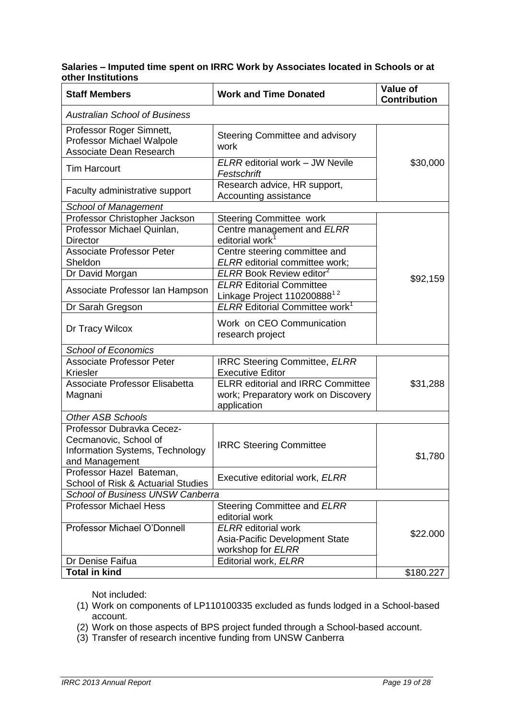# **Salaries – Imputed time spent on IRRC Work by Associates located in Schools or at other Institutions**

| <b>Staff Members</b>                                                                                    | <b>Work and Time Donated</b>                                                                   | <b>Value of</b><br><b>Contribution</b> |
|---------------------------------------------------------------------------------------------------------|------------------------------------------------------------------------------------------------|----------------------------------------|
| <b>Australian School of Business</b>                                                                    |                                                                                                |                                        |
| Professor Roger Simnett,<br>Professor Michael Walpole<br><b>Associate Dean Research</b>                 | Steering Committee and advisory<br>work                                                        |                                        |
| <b>Tim Harcourt</b>                                                                                     | ELRR editorial work - JW Nevile<br>Festschrift                                                 | \$30,000                               |
| Faculty administrative support                                                                          | Research advice, HR support,<br>Accounting assistance                                          |                                        |
| <b>School of Management</b>                                                                             |                                                                                                |                                        |
| Professor Christopher Jackson                                                                           | <b>Steering Committee work</b>                                                                 |                                        |
| Professor Michael Quinlan,<br><b>Director</b>                                                           | Centre management and ELRR<br>editorial work                                                   |                                        |
| <b>Associate Professor Peter</b><br>Sheldon                                                             | Centre steering committee and<br>ELRR editorial committee work;                                |                                        |
| Dr David Morgan                                                                                         | ELRR Book Review editor <sup>2</sup>                                                           |                                        |
| Associate Professor Ian Hampson                                                                         | <b>ELRR</b> Editorial Committee<br>Linkage Project 110200888 <sup>12</sup>                     | \$92,159                               |
| Dr Sarah Gregson                                                                                        | <b>ELRR Editorial Committee work</b> <sup>1</sup>                                              |                                        |
| Dr Tracy Wilcox                                                                                         | Work on CEO Communication<br>research project                                                  |                                        |
| <b>School of Economics</b>                                                                              |                                                                                                |                                        |
| <b>Associate Professor Peter</b><br><b>Kriesler</b>                                                     | <b>IRRC Steering Committee, ELRR</b><br><b>Executive Editor</b>                                |                                        |
| <b>Associate Professor Elisabetta</b><br>Magnani                                                        | <b>ELRR</b> editorial and IRRC Committee<br>work; Preparatory work on Discovery<br>application | \$31,288                               |
| <b>Other ASB Schools</b>                                                                                |                                                                                                |                                        |
| Professor Dubravka Cecez-<br>Cecmanovic, School of<br>Information Systems, Technology<br>and Management | <b>IRRC Steering Committee</b>                                                                 | \$1,780                                |
| Professor Hazel Bateman,<br>School of Risk & Actuarial Studies                                          | Executive editorial work, ELRR                                                                 |                                        |
| School of Business UNSW Canberra                                                                        |                                                                                                |                                        |
| <b>Professor Michael Hess</b>                                                                           | Steering Committee and ELRR<br>editorial work                                                  |                                        |
| Professor Michael O'Donnell                                                                             | <b>ELRR</b> editorial work<br>Asia-Pacific Development State<br>workshop for ELRR              | \$22.000                               |
| Dr Denise Faifua                                                                                        | Editorial work, ELRR                                                                           |                                        |
| <b>Total in kind</b>                                                                                    |                                                                                                | \$180.227                              |

Not included:

- (1) Work on components of LP110100335 excluded as funds lodged in a School-based account.
- (2) Work on those aspects of BPS project funded through a School-based account.
- (3) Transfer of research incentive funding from UNSW Canberra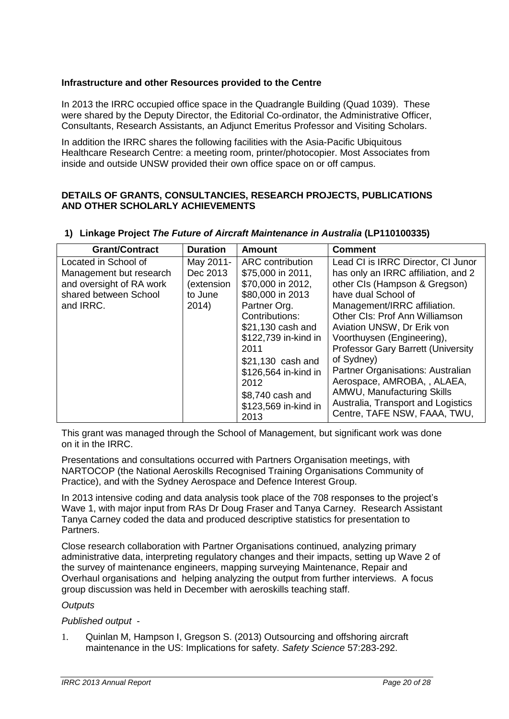# **Infrastructure and other Resources provided to the Centre**

In 2013 the IRRC occupied office space in the Quadrangle Building (Quad 1039). These were shared by the Deputy Director, the Editorial Co-ordinator, the Administrative Officer, Consultants, Research Assistants, an Adjunct Emeritus Professor and Visiting Scholars.

In addition the IRRC shares the following facilities with the Asia-Pacific Ubiquitous Healthcare Research Centre: a meeting room, printer/photocopier. Most Associates from inside and outside UNSW provided their own office space on or off campus.

# **DETAILS OF GRANTS, CONSULTANCIES, RESEARCH PROJECTS, PUBLICATIONS AND OTHER SCHOLARLY ACHIEVEMENTS**

| <b>Grant/Contract</b>                                                                                | <b>Duration</b>                                | <b>Amount</b>                                                                                                                                                                                | <b>Comment</b>                                                                                                                                                                                                                                                                                                                                                       |
|------------------------------------------------------------------------------------------------------|------------------------------------------------|----------------------------------------------------------------------------------------------------------------------------------------------------------------------------------------------|----------------------------------------------------------------------------------------------------------------------------------------------------------------------------------------------------------------------------------------------------------------------------------------------------------------------------------------------------------------------|
| Located in School of<br>Management but research<br>and oversight of RA work<br>shared between School | May 2011-<br>Dec 2013<br>(extension<br>to June | <b>ARC</b> contribution<br>\$75,000 in 2011,<br>\$70,000 in 2012,<br>\$80,000 in 2013                                                                                                        | Lead CI is IRRC Director, CI Junor<br>has only an IRRC affiliation, and 2<br>other CIs (Hampson & Gregson)<br>have dual School of                                                                                                                                                                                                                                    |
| and IRRC.                                                                                            | 2014)                                          | Partner Org.<br>Contributions:<br>\$21,130 cash and<br>\$122,739 in-kind in<br>2011<br>\$21,130 cash and<br>\$126,564 in-kind in<br>2012<br>\$8,740 cash and<br>\$123,569 in-kind in<br>2013 | Management/IRRC affiliation.<br><b>Other CIs: Prof Ann Williamson</b><br>Aviation UNSW, Dr Erik von<br>Voorthuysen (Engineering),<br><b>Professor Gary Barrett (University</b><br>of Sydney)<br>Partner Organisations: Australian<br>Aerospace, AMROBA, , ALAEA,<br>AMWU, Manufacturing Skills<br>Australia, Transport and Logistics<br>Centre, TAFE NSW, FAAA, TWU, |

#### **1) Linkage Project** *The Future of Aircraft Maintenance in Australia* **(LP110100335)**

This grant was managed through the School of Management, but significant work was done on it in the IRRC.

Presentations and consultations occurred with Partners Organisation meetings, with NARTOCOP (the National Aeroskills Recognised Training Organisations Community of Practice), and with the Sydney Aerospace and Defence Interest Group.

In 2013 intensive coding and data analysis took place of the 708 responses to the project's Wave 1, with major input from RAs Dr Doug Fraser and Tanya Carney. Research Assistant Tanya Carney coded the data and produced descriptive statistics for presentation to Partners.

Close research collaboration with Partner Organisations continued, analyzing primary administrative data, interpreting regulatory changes and their impacts, setting up Wave 2 of the survey of maintenance engineers, mapping surveying Maintenance, Repair and Overhaul organisations and helping analyzing the output from further interviews. A focus group discussion was held in December with aeroskills teaching staff.

# *Outputs*

# *Published output* -

1. Quinlan M, Hampson I, Gregson S. (2013) Outsourcing and offshoring aircraft maintenance in the US: Implications for safety. *Safety Science* 57:283-292.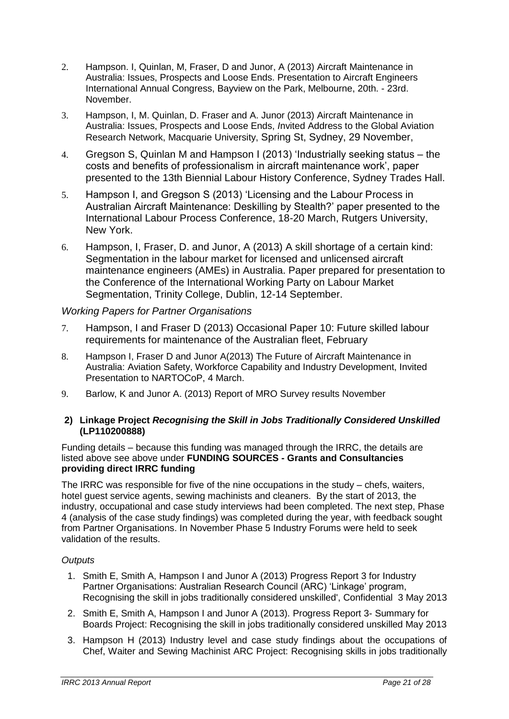- 2. Hampson. I, Quinlan, M, Fraser, D and Junor, A (2013) Aircraft Maintenance in Australia: Issues, Prospects and Loose Ends. Presentation to Aircraft Engineers International Annual Congress, Bayview on the Park, Melbourne, 20th. - 23rd. November.
- 3. Hampson, I, M. Quinlan, D. Fraser and A. Junor (2013) Aircraft Maintenance in Australia: Issues, Prospects and Loose Ends, *I*nvited Address to the Global Aviation Research Network, Macquarie University, Spring St, Sydney, 29 November,
- 4. Gregson S, Quinlan M and Hampson I (2013) 'Industrially seeking status the costs and benefits of professionalism in aircraft maintenance work', paper presented to the 13th Biennial Labour History Conference, Sydney Trades Hall.
- 5. Hampson I, and Gregson S (2013) 'Licensing and the Labour Process in Australian Aircraft Maintenance: Deskilling by Stealth?' paper presented to the International Labour Process Conference, 18-20 March, Rutgers University, New York.
- 6. Hampson, I, Fraser, D. and Junor, A (2013) A skill shortage of a certain kind: Segmentation in the labour market for licensed and unlicensed aircraft maintenance engineers (AMEs) in Australia. Paper prepared for presentation to the Conference of the International Working Party on Labour Market Segmentation, Trinity College, Dublin, 12-14 September.

# *Working Papers for Partner Organisations*

- 7. Hampson, I and Fraser D (2013) Occasional Paper 10: Future skilled labour requirements for maintenance of the Australian fleet, February
- 8. Hampson I, Fraser D and Junor A(2013) The Future of Aircraft Maintenance in Australia: Aviation Safety, Workforce Capability and Industry Development, Invited Presentation to NARTOCoP, 4 March.
- 9. Barlow, K and Junor A. (2013) Report of MRO Survey results November

# **2) Linkage Project** *Recognising the Skill in Jobs Traditionally Considered Unskilled*  **(LP110200888)**

Funding details – because this funding was managed through the IRRC, the details are listed above see above under **FUNDING SOURCES - Grants and Consultancies providing direct IRRC funding** 

The IRRC was responsible for five of the nine occupations in the study – chefs, waiters, hotel guest service agents, sewing machinists and cleaners. By the start of 2013, the industry, occupational and case study interviews had been completed. The next step, Phase 4 (analysis of the case study findings) was completed during the year, with feedback sought from Partner Organisations. In November Phase 5 Industry Forums were held to seek validation of the results.

# *Outputs*

- 1. Smith E, Smith A, Hampson I and Junor A (2013) Progress Report 3 for Industry Partner Organisations: Australian Research Council (ARC) 'Linkage' program, Recognising the skill in jobs traditionally considered unskilled', Confidential 3 May 2013
- 2. Smith E, Smith A, Hampson I and Junor A (2013). Progress Report 3- Summary for Boards Project: Recognising the skill in jobs traditionally considered unskilled May 2013
- 3. Hampson H (2013) Industry level and case study findings about the occupations of Chef, Waiter and Sewing Machinist ARC Project: Recognising skills in jobs traditionally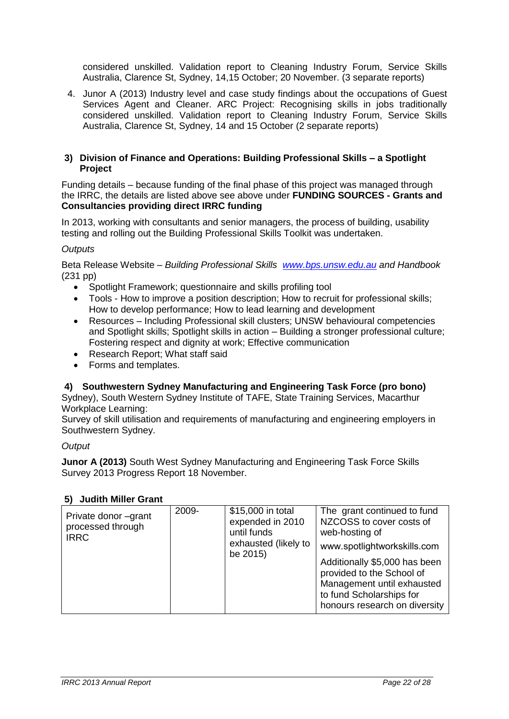considered unskilled. Validation report to Cleaning Industry Forum, Service Skills Australia, Clarence St, Sydney, 14,15 October; 20 November. (3 separate reports)

4. Junor A (2013) Industry level and case study findings about the occupations of Guest Services Agent and Cleaner. ARC Project: Recognising skills in jobs traditionally considered unskilled. Validation report to Cleaning Industry Forum, Service Skills Australia, Clarence St, Sydney, 14 and 15 October (2 separate reports)

# **3) Division of Finance and Operations: Building Professional Skills – a Spotlight Project**

Funding details – because funding of the final phase of this project was managed through the IRRC, the details are listed above see above under **FUNDING SOURCES - Grants and Consultancies providing direct IRRC funding** 

In 2013, working with consultants and senior managers, the process of building, usability testing and rolling out the Building Professional Skills Toolkit was undertaken.

# *Outputs*

Beta Release Website – *Building Professional Skills [www.bps.unsw.edu.au](http://www.bps.unsw.edu.au/) and Handbook*  (231 pp)

- Spotlight Framework; questionnaire and skills profiling tool
- Tools How to improve a position description; How to recruit for professional skills; How to develop performance; How to lead learning and development
- Resources Including Professional skill clusters; UNSW behavioural competencies and Spotlight skills; Spotlight skills in action – Building a stronger professional culture; Fostering respect and dignity at work; Effective communication
- Research Report; What staff said
- Forms and templates.

# **4) Southwestern Sydney Manufacturing and Engineering Task Force (pro bono)**

Sydney), South Western Sydney Institute of TAFE, State Training Services, Macarthur Workplace Learning:

Survey of skill utilisation and requirements of manufacturing and engineering employers in Southwestern Sydney.

# *Output*

**Junor A (2013)** South West Sydney Manufacturing and Engineering Task Force Skills Survey 2013 Progress Report 18 November.

# **5) Judith Miller Grant**

| Private donor -grant<br>processed through<br><b>IRRC</b> | 2009- | \$15,000 in total<br>expended in 2010<br>until funds<br>exhausted (likely to<br>be 2015) | The grant continued to fund<br>NZCOSS to cover costs of<br>web-hosting of<br>www.spotlightworkskills.com<br>Additionally \$5,000 has been<br>provided to the School of<br>Management until exhausted<br>to fund Scholarships for<br>honours research on diversity |
|----------------------------------------------------------|-------|------------------------------------------------------------------------------------------|-------------------------------------------------------------------------------------------------------------------------------------------------------------------------------------------------------------------------------------------------------------------|
|----------------------------------------------------------|-------|------------------------------------------------------------------------------------------|-------------------------------------------------------------------------------------------------------------------------------------------------------------------------------------------------------------------------------------------------------------------|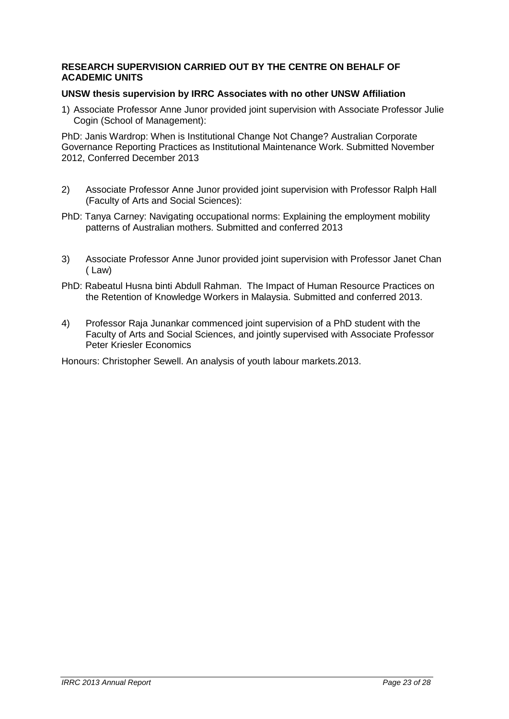# **RESEARCH SUPERVISION CARRIED OUT BY THE CENTRE ON BEHALF OF ACADEMIC UNITS**

# **UNSW thesis supervision by IRRC Associates with no other UNSW Affiliation**

1) Associate Professor Anne Junor provided joint supervision with Associate Professor Julie Cogin (School of Management):

PhD: Janis Wardrop: When is Institutional Change Not Change? Australian Corporate Governance Reporting Practices as Institutional Maintenance Work. Submitted November 2012, Conferred December 2013

- 2) Associate Professor Anne Junor provided joint supervision with Professor Ralph Hall (Faculty of Arts and Social Sciences):
- PhD: Tanya Carney: Navigating occupational norms: Explaining the employment mobility patterns of Australian mothers. Submitted and conferred 2013
- 3) Associate Professor Anne Junor provided joint supervision with Professor Janet Chan ( Law)
- PhD: Rabeatul Husna binti Abdull Rahman. The Impact of Human Resource Practices on the Retention of Knowledge Workers in Malaysia. Submitted and conferred 2013.
- 4) Professor Raja Junankar commenced joint supervision of a PhD student with the Faculty of Arts and Social Sciences, and jointly supervised with Associate Professor Peter Kriesler Economics

Honours: Christopher Sewell. An analysis of youth labour markets.2013.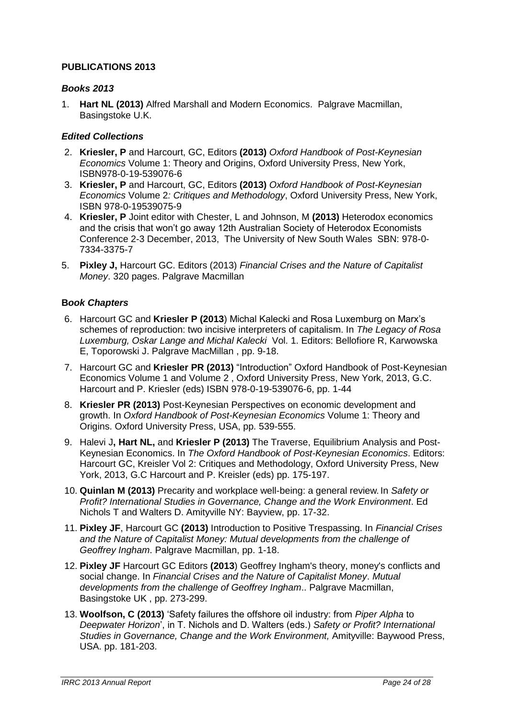# **PUBLICATIONS 2013**

# *Books 2013*

1. **Hart NL (2013)** Alfred Marshall and Modern Economics. Palgrave Macmillan, Basingstoke U.K.

# *Edited Collections*

- 2. **Kriesler, P** and Harcourt, GC, Editors **(2013)** *Oxford Handbook of Post-Keynesian Economics* Volume 1: Theory and Origins, Oxford University Press, New York, ISBN978-0-19-539076-6
- 3. **Kriesler, P** and Harcourt, GC, Editors **(2013)** *Oxford Handbook of Post-Keynesian Economics* Volume 2*: Critiques and Methodology*, Oxford University Press, New York, ISBN 978-0-19539075-9
- 4. **Kriesler, P** Joint editor with Chester, L and Johnson, M **(2013)** Heterodox economics and the crisis that won't go away 12th Australian Society of Heterodox Economists Conference 2-3 December, 2013, The University of New South Wales SBN: 978-0- 7334-3375-7
- 5. **Pixley J,** Harcourt GC. Editors (2013) *Financial Crises and the Nature of Capitalist Money*. 320 pages. Palgrave Macmillan

# **B***ook Chapters*

- 6. Harcourt GC and **Kriesler P (2013**) Michal Kalecki and Rosa Luxemburg on Marx's schemes of reproduction: two incisive interpreters of capitalism. In *The Legacy of Rosa Luxemburg, Oskar Lange and Michal Kalecki* Vol. 1. Editors: Bellofiore R, Karwowska E, Toporowski J. Palgrave MacMillan , pp. 9-18.
- 7. Harcourt GC and **Kriesler PR (2013)** "Introduction" Oxford Handbook of Post-Keynesian Economics Volume 1 and Volume 2 , Oxford University Press, New York, 2013, G.C. Harcourt and P. Kriesler (eds) ISBN 978-0-19-539076-6, pp. 1-44
- 8. **Kriesler PR (2013)** Post-Keynesian Perspectives on economic development and growth. In *Oxford Handbook of Post-Keynesian Economics* Volume 1: Theory and Origins. Oxford University Press, USA, pp. 539-555.
- 9. Halevi J**, Hart NL,** and **Kriesler P (2013)** The Traverse, Equilibrium Analysis and Post-Keynesian Economics. In *The Oxford Handbook of Post-Keynesian Economics*. Editors: Harcourt GC, Kreisler Vol 2: Critiques and Methodology, Oxford University Press, New York, 2013, G.C Harcourt and P. Kreisler (eds) pp. 175-197.
- 10. **Quinlan M (2013)** Precarity and workplace well-being: a general review. In *Safety or Profit? International Studies in Governance, Change and the Work Environment*. Ed Nichols T and Walters D. Amityville NY: Bayview, pp. 17-32.
- 11. **Pixley JF**, Harcourt GC **(2013)** Introduction to Positive Trespassing. In *Financial Crises and the Nature of Capitalist Money: Mutual developments from the challenge of Geoffrey Ingham*. Palgrave Macmillan, pp. 1-18.
- 12. **Pixley JF** Harcourt GC Editors **(2013**) Geoffrey Ingham's theory, money's conflicts and social change. In *Financial Crises and the Nature of Capitalist Money*. *Mutual developments from the challenge of Geoffrey Ingham*.. Palgrave Macmillan, Basingstoke UK , pp. 273-299.
- 13. **Woolfson, C (2013)** 'Safety failures the offshore oil industry: from *Piper Alpha* to *Deepwater Horizon*', in T. Nichols and D. Walters (eds.) *Safety or Profit? International Studies in Governance, Change and the Work Environment,* Amityville: Baywood Press, USA. pp. 181-203.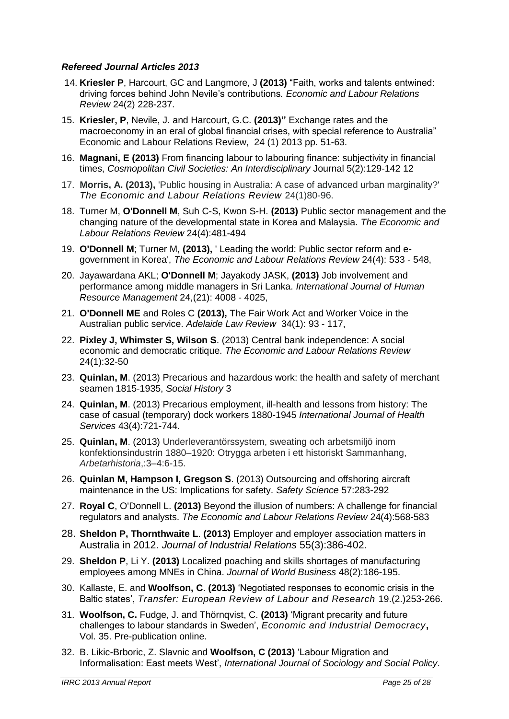# *Refereed Journal Articles 2013*

- 14. **Kriesler P**, Harcourt, GC and Langmore, J **(2013)** "Faith, works and talents entwined: driving forces behind John Nevile's contributions*. Economic and Labour Relations Review* 24(2) 228-237.
- 15. **Kriesler, P**, Nevile, J. and Harcourt, G.C. **(2013)"** Exchange rates and the macroeconomy in an eral of global financial crises, with special reference to Australia" Economic and Labour Relations Review, 24 (1) 2013 pp. 51-63.
- 16. **Magnani, E (2013)** From financing labour to labouring finance: subjectivity in financial times, *Cosmopolitan Civil Societies: An Interdisciplinary* Journal 5(2):129-142 12
- 17. **Morris, A. (2013),** 'Public housing in Australia: A case of advanced urban marginality?' *The Economic and Labour Relations Review* 24(1)80-96.
- 18. Turner M, **O'Donnell M**, Suh C-S, Kwon S-H. **(2013)** Public sector management and the changing nature of the developmental state in Korea and Malaysia. *The Economic and Labour Relations Review* 24(4):481-494
- 19. **O'Donnell M**; Turner M, **(2013),** ' Leading the world: Public sector reform and egovernment in Korea', *The Economic and Labour Relations Review* 24(4): 533 - 548,
- 20. Jayawardana AKL; **O'Donnell M**; Jayakody JASK, **(2013)** Job involvement and performance among middle managers in Sri Lanka. *International Journal of Human Resource Management* 24,(21): 4008 - 4025,
- 21. **O'Donnell ME** and Roles C **(2013),** The Fair Work Act and Worker Voice in the Australian public service. *Adelaide Law Review* 34(1): 93 - 117,
- 22. **Pixley J, Whimster S, Wilson S**. (2013) Central bank independence: A social economic and democratic critique. *The Economic and Labour Relations Review* 24(1):32-50
- 23. **Quinlan, M**. (2013) Precarious and hazardous work: the health and safety of merchant seamen 1815-1935, *Social History* 3
- 24. **Quinlan, M**. (2013) Precarious employment, ill-health and lessons from history: The case of casual (temporary) dock workers 1880-1945 *International Journal of Health Services* 43(4):721-744.
- 25. **Quinlan, M**. (2013) Underleverantörssystem, sweating och arbetsmiljö inom konfektionsindustrin 1880–1920: Otrygga arbeten i ett historiskt Sammanhang, *Arbetarhistoria*,:3–4:6-15.
- 26. **Quinlan M, Hampson I, Gregson S**. (2013) Outsourcing and offshoring aircraft maintenance in the US: Implications for safety. *Safety Science* 57:283-292
- 27. **Royal C**, O'Donnell L. **(2013)** Beyond the illusion of numbers: A challenge for financial regulators and analysts. *The Economic and Labour Relations Review* 24(4):568-583
- 28. **Sheldon P, Thornthwaite L**. **(2013)** Employer and employer association matters in Australia in 2012. *Journal of Industrial Relations* 55(3):386-402.
- 29. **Sheldon P**, Li Y. **(2013)** Localized poaching and skills shortages of manufacturing employees among MNEs in China. *Journal of World Business* 48(2):186-195.
- 30. Kallaste, E. and **Woolfson, C**. **(2013)** 'Negotiated responses to economic crisis in the Baltic states', *Transfer: European Review of Labour and Research* 19.(2.)253-266.
- 31. **Woolfson, C.** Fudge, J. and Thörnqvist, C. **(2013)** 'Migrant precarity and future challenges to labour standards in Sweden', *Economic and Industrial Democracy***,** Vol. 35. Pre-publication online.
- 32. B. Likic-Brboric, Z. Slavnic and **Woolfson, C (2013)** 'Labour Migration and Informalisation: East meets West', *International Journal of Sociology and Social Policy*.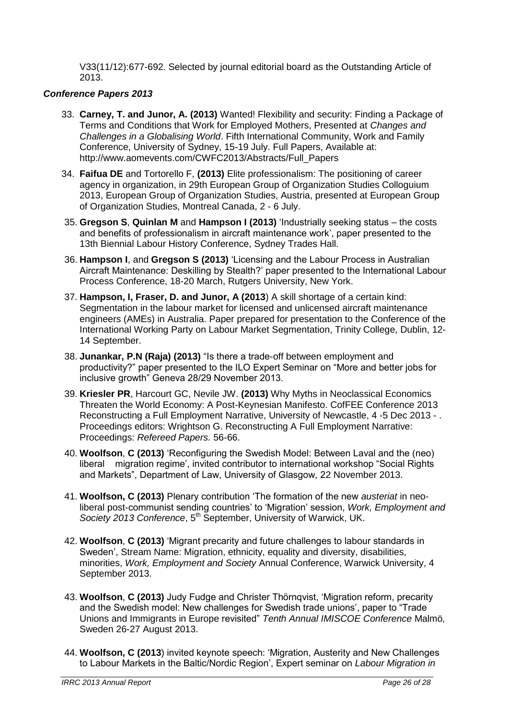V33(11/12):677-692. Selected by journal editorial board as the Outstanding Article of 2013.

# *Conference Papers 2013*

- 33. **Carney, T. and Junor, A. (2013)** Wanted! Flexibility and security: Finding a Package of Terms and Conditions that Work for Employed Mothers, Presented at *Changes and Challenges in a Globalising World*. Fifth International Community, Work and Family Conference, University of Sydney, 15-19 July. Full Papers, Available at: http://www.aomevents.com/CWFC2013/Abstracts/Full\_Papers
- 34. **Faifua DE** and Tortorello F, **(2013)** Elite professionalism: The positioning of career agency in organization, in 29th European Group of Organization Studies Colloguium 2013, European Group of Organization Studies, Austria, presented at European Group of Organization Studies, Montreal Canada, 2 - 6 July.
- 35. **Gregson S**, **Quinlan M** and **Hampson I (2013)** 'Industrially seeking status the costs and benefits of professionalism in aircraft maintenance work', paper presented to the 13th Biennial Labour History Conference, Sydney Trades Hall.
- 36. **Hampson I**, and **Gregson S (2013)** 'Licensing and the Labour Process in Australian Aircraft Maintenance: Deskilling by Stealth?' paper presented to the International Labour Process Conference, 18-20 March, Rutgers University, New York.
- 37. **Hampson, I, Fraser, D. and Junor, A (2013**) A skill shortage of a certain kind: Segmentation in the labour market for licensed and unlicensed aircraft maintenance engineers (AMEs) in Australia. Paper prepared for presentation to the Conference of the International Working Party on Labour Market Segmentation, Trinity College, Dublin, 12- 14 September.
- 38. **Junankar, P.N (Raja) (2013)** "Is there a trade-off between employment and productivity?" paper presented to the ILO Expert Seminar on "More and better jobs for inclusive growth" Geneva 28/29 November 2013.
- 39. **Kriesler PR**, Harcourt GC, Nevile JW. **(2013)** Why Myths in Neoclassical Economics Threaten the World Economy: A Post-Keynesian Manifesto. CofFEE Conference 2013 Reconstructing a Full Employment Narrative, University of Newcastle, 4 -5 Dec 2013 - . Proceedings editors: Wrightson G. Reconstructing A Full Employment Narrative: Proceedings: *Refereed Papers.* 56-66.
- 40. **Woolfson**, **C (2013)** 'Reconfiguring the Swedish Model: Between Laval and the (neo) liberal migration regime', invited contributor to international workshop "Social Rights and Markets", Department of Law, University of Glasgow, 22 November 2013.
- 41. **Woolfson, C (2013)** Plenary contribution 'The formation of the new *austeriat* in neoliberal post-communist sending countries' to 'Migration' session, *Work, Employment and*  Society 2013 Conference, 5<sup>th</sup> September, University of Warwick, UK.
- 42. **Woolfson**, **C (2013)** 'Migrant precarity and future challenges to labour standards in Sweden', Stream Name: Migration, ethnicity, equality and diversity, disabilities, minorities, *Work, Employment and Society* Annual Conference, Warwick University, 4 September 2013.
- 43. **Woolfson**, **C (2013)** Judy Fudge and Christer Thörnqvist, 'Migration reform, precarity and the Swedish model: New challenges for Swedish trade unions', paper to "Trade Unions and Immigrants in Europe revisited" *Tenth Annual IMISCOE Conference* Malmö*,*  Sweden 26-27 August 2013.
- 44. **Woolfson, C (2013**) invited keynote speech: 'Migration, Austerity and New Challenges to Labour Markets in the Baltic/Nordic Region', Expert seminar on *Labour Migration in*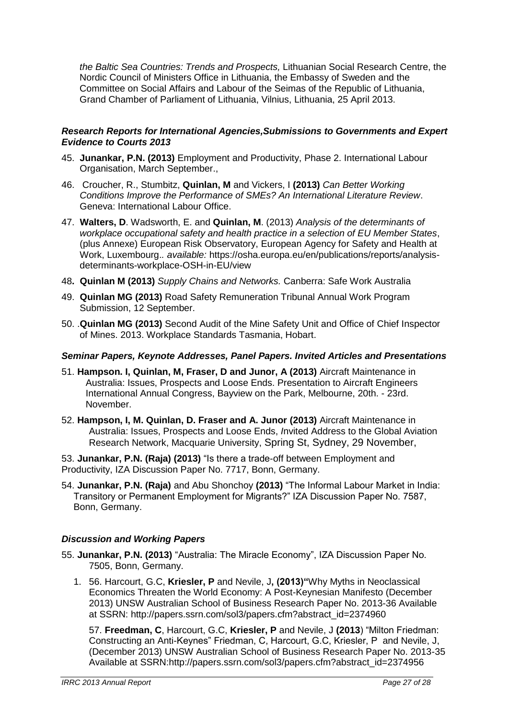*the Baltic Sea Countries: Trends and Prospects,* Lithuanian Social Research Centre, the Nordic Council of Ministers Office in Lithuania, the Embassy of Sweden and the Committee on Social Affairs and Labour of the Seimas of the Republic of Lithuania, Grand Chamber of Parliament of Lithuania, Vilnius, Lithuania, 25 April 2013.

# *Research Reports for International Agencies,Submissions to Governments and Expert Evidence to Courts 2013*

- 45. **Junankar, P.N. (2013)** Employment and Productivity, Phase 2. International Labour Organisation, March September.,
- 46. Croucher, R., Stumbitz, **Quinlan, M** and Vickers, I **(2013)** *Can Better Working Conditions Improve the Performance of SMEs? An International Literature Review*. Geneva: International Labour Office.
- 47. **Walters, D**. Wadsworth, E. and **Quinlan, M**. (2013) *Analysis of the determinants of workplace occupational safety and health practice in a selection of EU Member States*, (plus Annexe) European Risk Observatory, European Agency for Safety and Health at Work, Luxembourg.*. available:* https://osha.europa.eu/en/publications/reports/analysisdeterminants-workplace-OSH-in-EU/view
- 48**. Quinlan M (2013)** *Supply Chains and Networks.* Canberra: Safe Work Australia
- 49. **Quinlan MG (2013)** Road Safety Remuneration Tribunal Annual Work Program Submission, 12 September.
- 50. .**Quinlan MG (2013)** Second Audit of the Mine Safety Unit and Office of Chief Inspector of Mines. 2013. Workplace Standards Tasmania, Hobart.

# *Seminar Papers, Keynote Addresses, Panel Papers. Invited Articles and Presentations*

- 51. **Hampson. I, Quinlan, M, Fraser, D and Junor, A (2013)** Aircraft Maintenance in Australia: Issues, Prospects and Loose Ends. Presentation to Aircraft Engineers International Annual Congress, Bayview on the Park, Melbourne, 20th. - 23rd. November.
- 52. **Hampson, I, M. Quinlan, D. Fraser and A. Junor (2013)** Aircraft Maintenance in Australia: Issues, Prospects and Loose Ends, *I*nvited Address to the Global Aviation Research Network, Macquarie University, Spring St, Sydney, 29 November,

53. **Junankar, P.N. (Raja) (2013)** "Is there a trade-off between Employment and Productivity, IZA Discussion Paper No. 7717, Bonn, Germany.

54. **Junankar, P.N. (Raja)** and Abu Shonchoy **(2013)** "The Informal Labour Market in India: Transitory or Permanent Employment for Migrants?" IZA Discussion Paper No. 7587, Bonn, Germany.

# *Discussion and Working Papers*

- 55. **Junankar, P.N. (2013)** "Australia: The Miracle Economy", IZA Discussion Paper No. 7505, Bonn, Germany.
	- 1. 56. Harcourt, G.C, **Kriesler, P** and Nevile, J**, (2013)"**Why Myths in Neoclassical Economics Threaten the World Economy: A Post-Keynesian Manifesto (December 2013) UNSW Australian School of Business Research Paper No. 2013-36 Available at SSRN: http://papers.ssrn.com/sol3/papers.cfm?abstract\_id=2374960

57. **Freedman, C**, Harcourt, G.C, **Kriesler, P** and Nevile, J **(2013**) "Milton Friedman: Constructing an Anti-Keynes" Friedman, C, Harcourt, G.C, Kriesler, P and Nevile, J, (December 2013) UNSW Australian School of Business Research Paper No. 2013-35 Available at SSRN:http://papers.ssrn.com/sol3/papers.cfm?abstract\_id=2374956